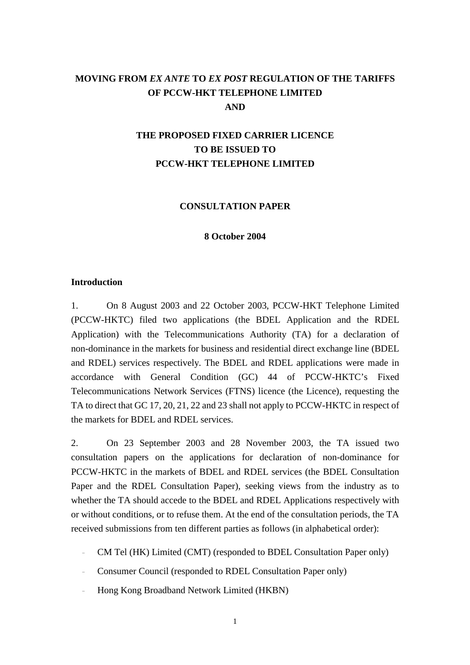# **MOVING FROM** *EX ANTE* **TO** *EX POST* **REGULATION OF THE TARIFFS OF PCCW-HKT TELEPHONE LIMITED AND**

# **THE PROPOSED FIXED CARRIER LICENCE TO BE ISSUED TO PCCW-HKT TELEPHONE LIMITED**

#### **CONSULTATION PAPER**

#### **8 October 2004**

#### **Introduction**

1. On 8 August 2003 and 22 October 2003, PCCW-HKT Telephone Limited (PCCW-HKTC) filed two applications (the BDEL Application and the RDEL Application) with the Telecommunications Authority (TA) for a declaration of non-dominance in the markets for business and residential direct exchange line (BDEL and RDEL) services respectively. The BDEL and RDEL applications were made in accordance with General Condition (GC) 44 of PCCW-HKTC's Fixed Telecommunications Network Services (FTNS) licence (the Licence), requesting the TA to direct that GC 17, 20, 21, 22 and 23 shall not apply to PCCW-HKTC in respect of the markets for BDEL and RDEL services.

2. On 23 September 2003 and 28 November 2003, the TA issued two consultation papers on the applications for declaration of non-dominance for PCCW-HKTC in the markets of BDEL and RDEL services (the BDEL Consultation Paper and the RDEL Consultation Paper), seeking views from the industry as to whether the TA should accede to the BDEL and RDEL Applications respectively with or without conditions, or to refuse them. At the end of the consultation periods, the TA received submissions from ten different parties as follows (in alphabetical order):

- CM Tel (HK) Limited (CMT) (responded to BDEL Consultation Paper only)
- Consumer Council (responded to RDEL Consultation Paper only)
- Hong Kong Broadband Network Limited (HKBN)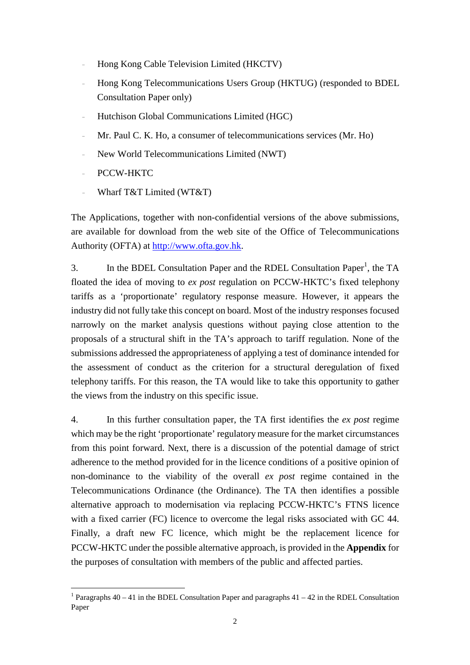- Hong Kong Cable Television Limited (HKCTV)
- Hong Kong Telecommunications Users Group (HKTUG) (responded to BDEL Consultation Paper only)
- Hutchison Global Communications Limited (HGC)
- Mr. Paul C. K. Ho, a consumer of telecommunications services (Mr. Ho)
- New World Telecommunications Limited (NWT)
- PCCW-HKTC

 $\overline{a}$ 

– Wharf T&T Limited (WT&T)

The Applications, together with non-confidential versions of the above submissions, are available for download from the web site of the Office of Telecommunications Authority (OFTA) at http://www.ofta.gov.hk.

3. In the BDEL Consultation Paper and the RDEL Consultation Paper<sup>1</sup>, the TA floated the idea of moving to *ex post* regulation on PCCW-HKTC's fixed telephony tariffs as a 'proportionate' regulatory response measure. However, it appears the industry did not fully take this concept on board. Most of the industry responses focused narrowly on the market analysis questions without paying close attention to the proposals of a structural shift in the TA's approach to tariff regulation. None of the submissions addressed the appropriateness of applying a test of dominance intended for the assessment of conduct as the criterion for a structural deregulation of fixed telephony tariffs. For this reason, the TA would like to take this opportunity to gather the views from the industry on this specific issue.

4. In this further consultation paper, the TA first identifies the *ex post* regime which may be the right 'proportionate' regulatory measure for the market circumstances from this point forward. Next, there is a discussion of the potential damage of strict adherence to the method provided for in the licence conditions of a positive opinion of non-dominance to the viability of the overall *ex post* regime contained in the Telecommunications Ordinance (the Ordinance). The TA then identifies a possible alternative approach to modernisation via replacing PCCW-HKTC's FTNS licence with a fixed carrier (FC) licence to overcome the legal risks associated with GC 44. Finally, a draft new FC licence, which might be the replacement licence for PCCW-HKTC under the possible alternative approach, is provided in the **Appendix** for the purposes of consultation with members of the public and affected parties.

<sup>&</sup>lt;sup>1</sup> Paragraphs  $40 - 41$  in the BDEL Consultation Paper and paragraphs  $41 - 42$  in the RDEL Consultation Paper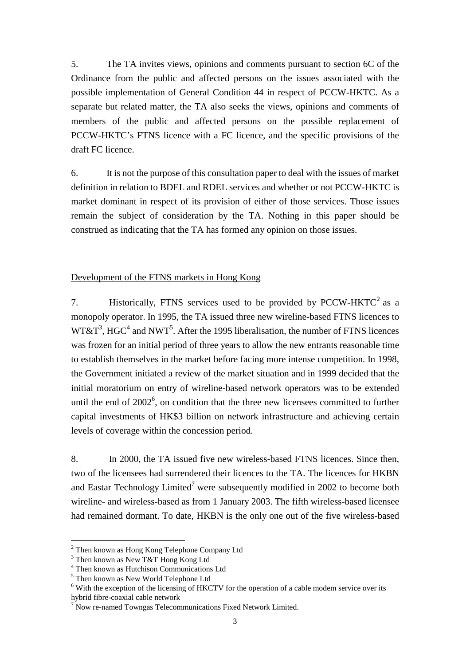5. The TA invites views, opinions and comments pursuant to section 6C of the Ordinance from the public and affected persons on the issues associated with the possible implementation of General Condition 44 in respect of PCCW-HKTC. As a separate but related matter, the TA also seeks the views, opinions and comments of members of the public and affected persons on the possible replacement of PCCW-HKTC's FTNS licence with a FC licence, and the specific provisions of the draft FC licence.

6. It is not the purpose of this consultation paper to deal with the issues of market definition in relation to BDEL and RDEL services and whether or not PCCW-HKTC is market dominant in respect of its provision of either of those services. Those issues remain the subject of consideration by the TA. Nothing in this paper should be construed as indicating that the TA has formed any opinion on those issues.

#### Development of the FTNS markets in Hong Kong

7. Historically, FTNS services used to be provided by PCCW-HKTC<sup>2</sup> as a monopoly operator. In 1995, the TA issued three new wireline-based FTNS licences to  $W T \& T<sup>3</sup>$ , HGC<sup>4</sup> and NWT<sup>5</sup>. After the 1995 liberalisation, the number of FTNS licences was frozen for an initial period of three years to allow the new entrants reasonable time to establish themselves in the market before facing more intense competition. In 1998, the Government initiated a review of the market situation and in 1999 decided that the initial moratorium on entry of wireline-based network operators was to be extended until the end of  $2002^6$ , on condition that the three new licensees committed to further capital investments of HK\$3 billion on network infrastructure and achieving certain levels of coverage within the concession period.

8. In 2000, the TA issued five new wireless-based FTNS licences. Since then, two of the licensees had surrendered their licences to the TA. The licences for HKBN and Eastar Technology Limited<sup>7</sup> were subsequently modified in 2002 to become both wireline- and wireless-based as from 1 January 2003. The fifth wireless-based licensee had remained dormant. To date, HKBN is the only one out of the five wireless-based

<sup>&</sup>lt;sup>2</sup> Then known as Hong Kong Telephone Company Ltd

<sup>&</sup>lt;sup>3</sup> Then known as New T&T Hong Kong Ltd

<sup>4</sup> Then known as Hutchison Communications Ltd

<sup>&</sup>lt;sup>5</sup> Then known as New World Telephone Ltd

<sup>&</sup>lt;sup>6</sup> With the exception of the licensing of HKCTV for the operation of a cable modem service over its hybrid fibre-coaxial cable network

 $7$  Now re-named Towngas Telecommunications Fixed Network Limited.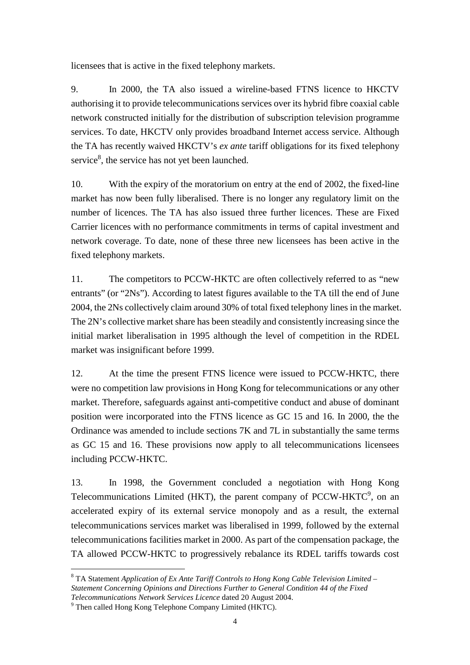licensees that is active in the fixed telephony markets.

9. In 2000, the TA also issued a wireline-based FTNS licence to HKCTV authorising it to provide telecommunications services over its hybrid fibre coaxial cable network constructed initially for the distribution of subscription television programme services. To date, HKCTV only provides broadband Internet access service. Although the TA has recently waived HKCTV's *ex ante* tariff obligations for its fixed telephony service<sup>8</sup>, the service has not yet been launched.

10. With the expiry of the moratorium on entry at the end of 2002, the fixed-line market has now been fully liberalised. There is no longer any regulatory limit on the number of licences. The TA has also issued three further licences. These are Fixed Carrier licences with no performance commitments in terms of capital investment and network coverage. To date, none of these three new licensees has been active in the fixed telephony markets.

11. The competitors to PCCW-HKTC are often collectively referred to as "new entrants" (or "2Ns"). According to latest figures available to the TA till the end of June 2004, the 2Ns collectively claim around 30% of total fixed telephony lines in the market. The 2N's collective market share has been steadily and consistently increasing since the initial market liberalisation in 1995 although the level of competition in the RDEL market was insignificant before 1999.

12. At the time the present FTNS licence were issued to PCCW-HKTC, there were no competition law provisions in Hong Kong for telecommunications or any other market. Therefore, safeguards against anti-competitive conduct and abuse of dominant position were incorporated into the FTNS licence as GC 15 and 16. In 2000, the the Ordinance was amended to include sections 7K and 7L in substantially the same terms as GC 15 and 16. These provisions now apply to all telecommunications licensees including PCCW-HKTC.

13. In 1998, the Government concluded a negotiation with Hong Kong Telecommunications Limited (HKT), the parent company of PCCW-HKTC $\rm$ <sup>9</sup>, on an accelerated expiry of its external service monopoly and as a result, the external telecommunications services market was liberalised in 1999, followed by the external telecommunications facilities market in 2000. As part of the compensation package, the TA allowed PCCW-HKTC to progressively rebalance its RDEL tariffs towards cost

<sup>&</sup>lt;sup>8</sup> TA Statement *Application of Ex Ante Tariff Controls to Hong Kong Cable Television Limited – Statement Concerning Opinions and Directions Further to General Condition 44 of the Fixed Telecommunications Network Services Licence* dated 20 August 2004.

<sup>&</sup>lt;sup>9</sup> Then called Hong Kong Telephone Company Limited (HKTC).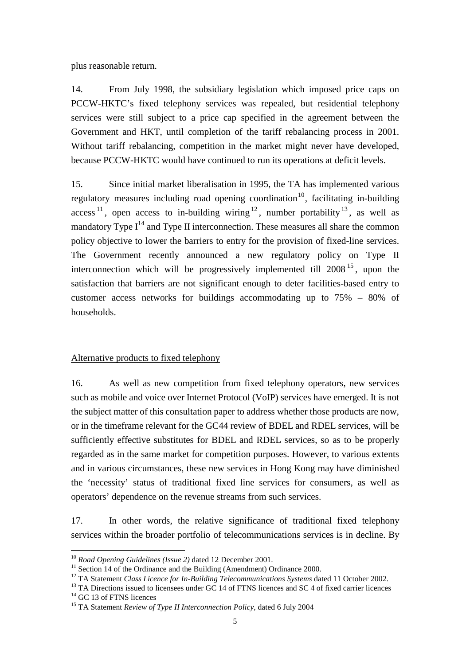plus reasonable return.

14. From July 1998, the subsidiary legislation which imposed price caps on PCCW-HKTC's fixed telephony services was repealed, but residential telephony services were still subject to a price cap specified in the agreement between the Government and HKT, until completion of the tariff rebalancing process in 2001. Without tariff rebalancing, competition in the market might never have developed, because PCCW-HKTC would have continued to run its operations at deficit levels.

15. Since initial market liberalisation in 1995, the TA has implemented various regulatory measures including road opening coordination<sup>10</sup>, facilitating in-building access<sup>11</sup>, open access to in-building wiring  $12$ , number portability  $13$ , as well as mandatory Type  $I^{14}$  and Type II interconnection. These measures all share the common policy objective to lower the barriers to entry for the provision of fixed-line services. The Government recently announced a new regulatory policy on Type II interconnection which will be progressively implemented till  $2008<sup>15</sup>$ , upon the satisfaction that barriers are not significant enough to deter facilities-based entry to customer access networks for buildings accommodating up to 75% – 80% of households.

# Alternative products to fixed telephony

16. As well as new competition from fixed telephony operators, new services such as mobile and voice over Internet Protocol (VoIP) services have emerged. It is not the subject matter of this consultation paper to address whether those products are now, or in the timeframe relevant for the GC44 review of BDEL and RDEL services, will be sufficiently effective substitutes for BDEL and RDEL services, so as to be properly regarded as in the same market for competition purposes. However, to various extents and in various circumstances, these new services in Hong Kong may have diminished the 'necessity' status of traditional fixed line services for consumers, as well as operators' dependence on the revenue streams from such services.

17. In other words, the relative significance of traditional fixed telephony services within the broader portfolio of telecommunications services is in decline. By

 $10$  Road Opening Guidelines (Issue 2) dated 12 December 2001.

<sup>&</sup>lt;sup>11</sup> Section 14 of the Ordinance and the Building (Amendment) Ordinance 2000.<br><sup>12</sup> TA Statement *Class Licence for In-Building Telecommunications Systems* dated 11 October 2002.

<sup>&</sup>lt;sup>13</sup> TA Directions issued to licensees under GC 14 of FTNS licences and SC 4 of fixed carrier licences

 $^{14}$  GC 13 of FTNS licences

<sup>15</sup> TA Statement *Review of Type II Interconnection Policy*, dated 6 July 2004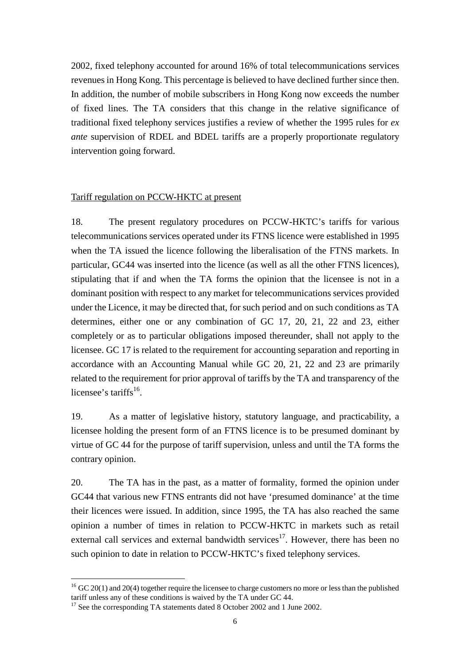2002, fixed telephony accounted for around 16% of total telecommunications services revenues in Hong Kong. This percentage is believed to have declined further since then. In addition, the number of mobile subscribers in Hong Kong now exceeds the number of fixed lines. The TA considers that this change in the relative significance of traditional fixed telephony services justifies a review of whether the 1995 rules for *ex ante* supervision of RDEL and BDEL tariffs are a properly proportionate regulatory intervention going forward.

#### Tariff regulation on PCCW-HKTC at present

18. The present regulatory procedures on PCCW-HKTC's tariffs for various telecommunications services operated under its FTNS licence were established in 1995 when the TA issued the licence following the liberalisation of the FTNS markets. In particular, GC44 was inserted into the licence (as well as all the other FTNS licences), stipulating that if and when the TA forms the opinion that the licensee is not in a dominant position with respect to any market for telecommunications services provided under the Licence, it may be directed that, for such period and on such conditions as TA determines, either one or any combination of GC 17, 20, 21, 22 and 23, either completely or as to particular obligations imposed thereunder, shall not apply to the licensee. GC 17 is related to the requirement for accounting separation and reporting in accordance with an Accounting Manual while GC 20, 21, 22 and 23 are primarily related to the requirement for prior approval of tariffs by the TA and transparency of the licensee's tariffs $^{16}$ .

19. As a matter of legislative history, statutory language, and practicability, a licensee holding the present form of an FTNS licence is to be presumed dominant by virtue of GC 44 for the purpose of tariff supervision, unless and until the TA forms the contrary opinion.

20. The TA has in the past, as a matter of formality, formed the opinion under GC44 that various new FTNS entrants did not have 'presumed dominance' at the time their licences were issued. In addition, since 1995, the TA has also reached the same opinion a number of times in relation to PCCW-HKTC in markets such as retail external call services and external bandwidth services $17$ . However, there has been no such opinion to date in relation to PCCW-HKTC's fixed telephony services.

 $16$  GC 20(1) and 20(4) together require the licensee to charge customers no more or less than the published tariff unless any of these conditions is waived by the TA under GC 44.

<sup>&</sup>lt;sup>17</sup> See the corresponding TA statements dated 8 October 2002 and 1 June 2002.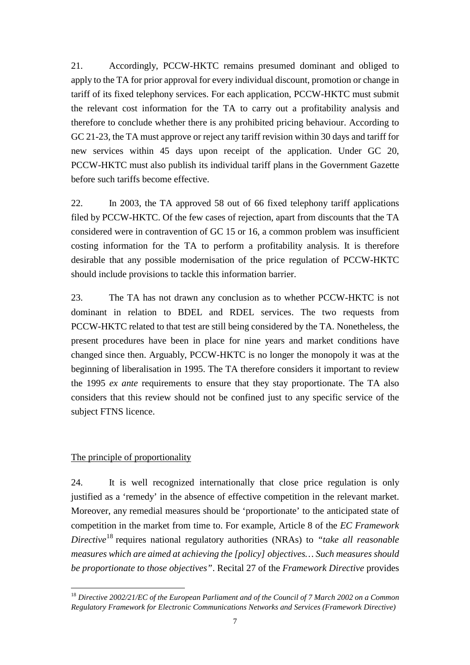21. Accordingly, PCCW-HKTC remains presumed dominant and obliged to apply to the TA for prior approval for every individual discount, promotion or change in tariff of its fixed telephony services. For each application, PCCW-HKTC must submit the relevant cost information for the TA to carry out a profitability analysis and therefore to conclude whether there is any prohibited pricing behaviour. According to GC 21-23, the TA must approve or reject any tariff revision within 30 days and tariff for new services within 45 days upon receipt of the application. Under GC 20, PCCW-HKTC must also publish its individual tariff plans in the Government Gazette before such tariffs become effective.

22. In 2003, the TA approved 58 out of 66 fixed telephony tariff applications filed by PCCW-HKTC. Of the few cases of rejection, apart from discounts that the TA considered were in contravention of GC 15 or 16, a common problem was insufficient costing information for the TA to perform a profitability analysis. It is therefore desirable that any possible modernisation of the price regulation of PCCW-HKTC should include provisions to tackle this information barrier.

23. The TA has not drawn any conclusion as to whether PCCW-HKTC is not dominant in relation to BDEL and RDEL services. The two requests from PCCW-HKTC related to that test are still being considered by the TA. Nonetheless, the present procedures have been in place for nine years and market conditions have changed since then. Arguably, PCCW-HKTC is no longer the monopoly it was at the beginning of liberalisation in 1995. The TA therefore considers it important to review the 1995 *ex ante* requirements to ensure that they stay proportionate. The TA also considers that this review should not be confined just to any specific service of the subject FTNS licence.

# The principle of proportionality

 $\overline{a}$ 

24. It is well recognized internationally that close price regulation is only justified as a 'remedy' in the absence of effective competition in the relevant market. Moreover, any remedial measures should be 'proportionate' to the anticipated state of competition in the market from time to. For example, Article 8 of the *EC Framework Directive*18 requires national regulatory authorities (NRAs) to *"take all reasonable measures which are aimed at achieving the [policy] objectives… Such measures should be proportionate to those objectives"*. Recital 27 of the *Framework Directive* provides

<sup>18</sup> *Directive 2002/21/EC of the European Parliament and of the Council of 7 March 2002 on a Common Regulatory Framework for Electronic Communications Networks and Services (Framework Directive)*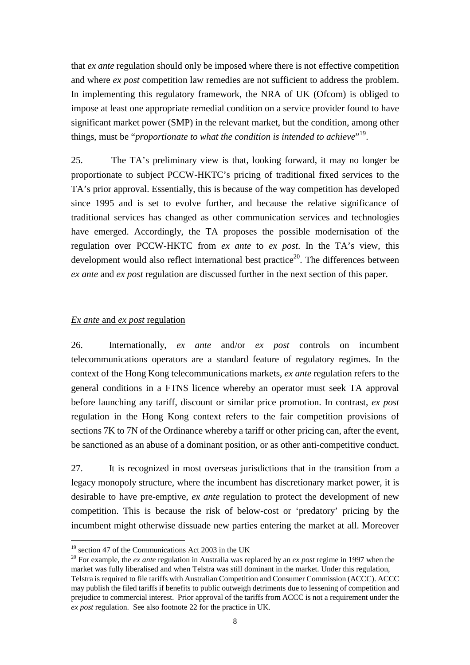that *ex ante* regulation should only be imposed where there is not effective competition and where *ex post* competition law remedies are not sufficient to address the problem. In implementing this regulatory framework, the NRA of UK (Ofcom) is obliged to impose at least one appropriate remedial condition on a service provider found to have significant market power (SMP) in the relevant market, but the condition, among other things, must be "*proportionate to what the condition is intended to achieve*" 19.

25. The TA's preliminary view is that, looking forward, it may no longer be proportionate to subject PCCW-HKTC's pricing of traditional fixed services to the TA's prior approval. Essentially, this is because of the way competition has developed since 1995 and is set to evolve further, and because the relative significance of traditional services has changed as other communication services and technologies have emerged. Accordingly, the TA proposes the possible modernisation of the regulation over PCCW-HKTC from *ex ante* to *ex post*. In the TA's view, this development would also reflect international best practice<sup>20</sup>. The differences between *ex ante* and *ex post* regulation are discussed further in the next section of this paper.

#### *Ex ante* and *ex post* regulation

26. Internationally, *ex ante* and/or *ex post* controls on incumbent telecommunications operators are a standard feature of regulatory regimes. In the context of the Hong Kong telecommunications markets, *ex ante* regulation refers to the general conditions in a FTNS licence whereby an operator must seek TA approval before launching any tariff, discount or similar price promotion. In contrast, *ex post* regulation in the Hong Kong context refers to the fair competition provisions of sections 7K to 7N of the Ordinance whereby a tariff or other pricing can, after the event, be sanctioned as an abuse of a dominant position, or as other anti-competitive conduct.

27. It is recognized in most overseas jurisdictions that in the transition from a legacy monopoly structure, where the incumbent has discretionary market power, it is desirable to have pre-emptive, *ex ante* regulation to protect the development of new competition. This is because the risk of below-cost or 'predatory' pricing by the incumbent might otherwise dissuade new parties entering the market at all. Moreover

 $19$  section 47 of the Communications Act 2003 in the UK

<sup>20</sup> For example, the *ex ante* regulation in Australia was replaced by an *ex post* regime in 1997 when the market was fully liberalised and when Telstra was still dominant in the market. Under this regulation, Telstra is required to file tariffs with Australian Competition and Consumer Commission (ACCC). ACCC may publish the filed tariffs if benefits to public outweigh detriments due to lessening of competition and prejudice to commercial interest. Prior approval of the tariffs from ACCC is not a requirement under the *ex post* regulation. See also footnote 22 for the practice in UK.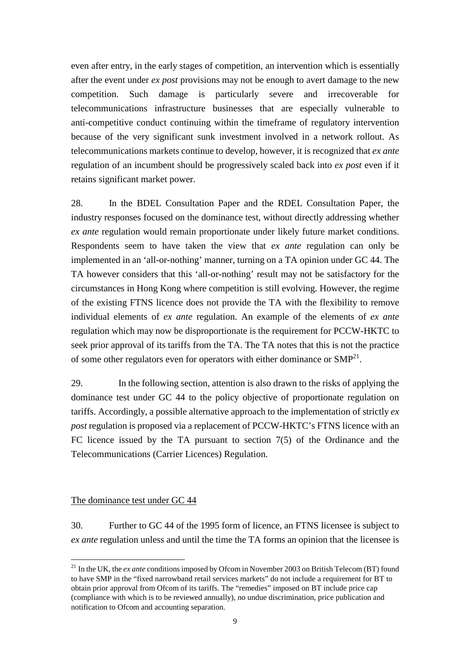even after entry, in the early stages of competition, an intervention which is essentially after the event under *ex post* provisions may not be enough to avert damage to the new competition. Such damage is particularly severe and irrecoverable for telecommunications infrastructure businesses that are especially vulnerable to anti-competitive conduct continuing within the timeframe of regulatory intervention because of the very significant sunk investment involved in a network rollout. As telecommunications markets continue to develop, however, it is recognized that *ex ante* regulation of an incumbent should be progressively scaled back into *ex post* even if it retains significant market power.

28. In the BDEL Consultation Paper and the RDEL Consultation Paper, the industry responses focused on the dominance test, without directly addressing whether *ex ante* regulation would remain proportionate under likely future market conditions. Respondents seem to have taken the view that *ex ante* regulation can only be implemented in an 'all-or-nothing' manner, turning on a TA opinion under GC 44. The TA however considers that this 'all-or-nothing' result may not be satisfactory for the circumstances in Hong Kong where competition is still evolving. However, the regime of the existing FTNS licence does not provide the TA with the flexibility to remove individual elements of *ex ante* regulation. An example of the elements of *ex ante* regulation which may now be disproportionate is the requirement for PCCW-HKTC to seek prior approval of its tariffs from the TA. The TA notes that this is not the practice of some other regulators even for operators with either dominance or  $SMP<sup>21</sup>$ .

29. In the following section, attention is also drawn to the risks of applying the dominance test under GC 44 to the policy objective of proportionate regulation on tariffs. Accordingly, a possible alternative approach to the implementation of strictly *ex post* regulation is proposed via a replacement of PCCW-HKTC's FTNS licence with an FC licence issued by the TA pursuant to section 7(5) of the Ordinance and the Telecommunications (Carrier Licences) Regulation.

#### The dominance test under GC 44

 $\overline{a}$ 

30. Further to GC 44 of the 1995 form of licence, an FTNS licensee is subject to *ex ante* regulation unless and until the time the TA forms an opinion that the licensee is

<sup>&</sup>lt;sup>21</sup> In the UK, the *ex ante* conditions imposed by Ofcom in November 2003 on British Telecom (BT) found to have SMP in the "fixed narrowband retail services markets" do not include a requirement for BT to obtain prior approval from Ofcom of its tariffs. The "remedies" imposed on BT include price cap (compliance with which is to be reviewed annually), no undue discrimination, price publication and notification to Ofcom and accounting separation.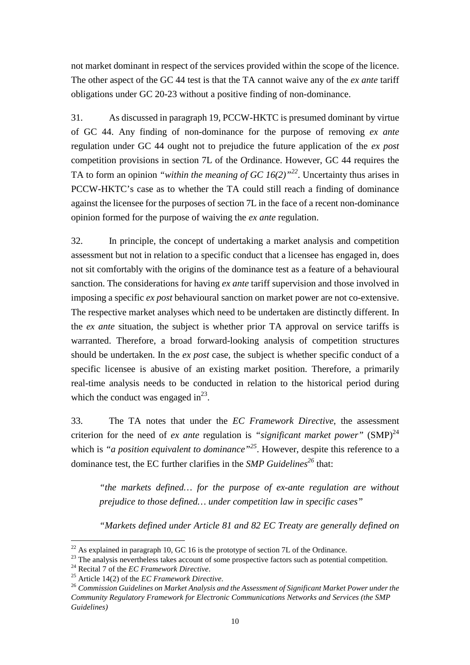not market dominant in respect of the services provided within the scope of the licence. The other aspect of the GC 44 test is that the TA cannot waive any of the *ex ante* tariff obligations under GC 20-23 without a positive finding of non-dominance.

31. As discussed in paragraph 19, PCCW-HKTC is presumed dominant by virtue of GC 44. Any finding of non-dominance for the purpose of removing *ex ante* regulation under GC 44 ought not to prejudice the future application of the *ex post*  competition provisions in section 7L of the Ordinance. However, GC 44 requires the TA to form an opinion *"within the meaning of GC 16(2)"<sup>22</sup>*. Uncertainty thus arises in PCCW-HKTC's case as to whether the TA could still reach a finding of dominance against the licensee for the purposes of section 7L in the face of a recent non-dominance opinion formed for the purpose of waiving the *ex ante* regulation.

32. In principle, the concept of undertaking a market analysis and competition assessment but not in relation to a specific conduct that a licensee has engaged in, does not sit comfortably with the origins of the dominance test as a feature of a behavioural sanction. The considerations for having *ex ante* tariff supervision and those involved in imposing a specific *ex post* behavioural sanction on market power are not co-extensive. The respective market analyses which need to be undertaken are distinctly different. In the *ex ante* situation, the subject is whether prior TA approval on service tariffs is warranted. Therefore, a broad forward-looking analysis of competition structures should be undertaken. In the *ex post* case, the subject is whether specific conduct of a specific licensee is abusive of an existing market position. Therefore, a primarily real-time analysis needs to be conducted in relation to the historical period during which the conduct was engaged in $^{23}$ .

33. The TA notes that under the *EC Framework Directive*, the assessment criterion for the need of *ex ante* regulation is *"significant market power"*  $(SMP)^{24}$ which is *"a position equivalent to dominance*"<sup>25</sup>. However, despite this reference to a dominance test, the EC further clarifies in the *SMP Guidelines<sup>26</sup>* that:

*"the markets defined… for the purpose of ex-ante regulation are without prejudice to those defined… under competition law in specific cases"* 

*"Markets defined under Article 81 and 82 EC Treaty are generally defined on* 

 $^{22}$  As explained in paragraph 10, GC 16 is the prototype of section 7L of the Ordinance.

<sup>&</sup>lt;sup>23</sup> The analysis nevertheless takes account of some prospective factors such as potential competition.<br><sup>24</sup> Recital 7 of the *EC Framework Directive*.

<sup>&</sup>lt;sup>25</sup> Article 14(2) of the *EC Framework Directive*.<br><sup>26</sup> Commission Guidelines on Market Analysis and the Assessment of Significant Market Power under the *Community Regulatory Framework for Electronic Communications Networks and Services (the SMP Guidelines)*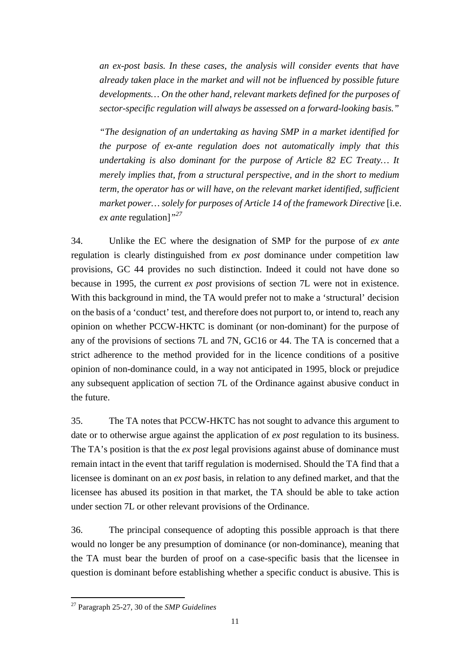*an ex-post basis. In these cases, the analysis will consider events that have already taken place in the market and will not be influenced by possible future developments… On the other hand, relevant markets defined for the purposes of sector-specific regulation will always be assessed on a forward-looking basis."* 

*"The designation of an undertaking as having SMP in a market identified for the purpose of ex-ante regulation does not automatically imply that this undertaking is also dominant for the purpose of Article 82 EC Treaty… It merely implies that, from a structural perspective, and in the short to medium term, the operator has or will have, on the relevant market identified, sufficient market power… solely for purposes of Article 14 of the framework Directive* [i.e. *ex ante* regulation]*"<sup>27</sup>*

34. Unlike the EC where the designation of SMP for the purpose of *ex ante* regulation is clearly distinguished from *ex post* dominance under competition law provisions, GC 44 provides no such distinction. Indeed it could not have done so because in 1995, the current *ex post* provisions of section 7L were not in existence. With this background in mind, the TA would prefer not to make a 'structural' decision on the basis of a 'conduct' test, and therefore does not purport to, or intend to, reach any opinion on whether PCCW-HKTC is dominant (or non-dominant) for the purpose of any of the provisions of sections 7L and 7N, GC16 or 44. The TA is concerned that a strict adherence to the method provided for in the licence conditions of a positive opinion of non-dominance could, in a way not anticipated in 1995, block or prejudice any subsequent application of section 7L of the Ordinance against abusive conduct in the future.

35. The TA notes that PCCW-HKTC has not sought to advance this argument to date or to otherwise argue against the application of *ex post* regulation to its business. The TA's position is that the *ex post* legal provisions against abuse of dominance must remain intact in the event that tariff regulation is modernised. Should the TA find that a licensee is dominant on an *ex post* basis, in relation to any defined market, and that the licensee has abused its position in that market, the TA should be able to take action under section 7L or other relevant provisions of the Ordinance.

36. The principal consequence of adopting this possible approach is that there would no longer be any presumption of dominance (or non-dominance), meaning that the TA must bear the burden of proof on a case-specific basis that the licensee in question is dominant before establishing whether a specific conduct is abusive. This is

<sup>27</sup> Paragraph 25-27, 30 of the *SMP Guidelines*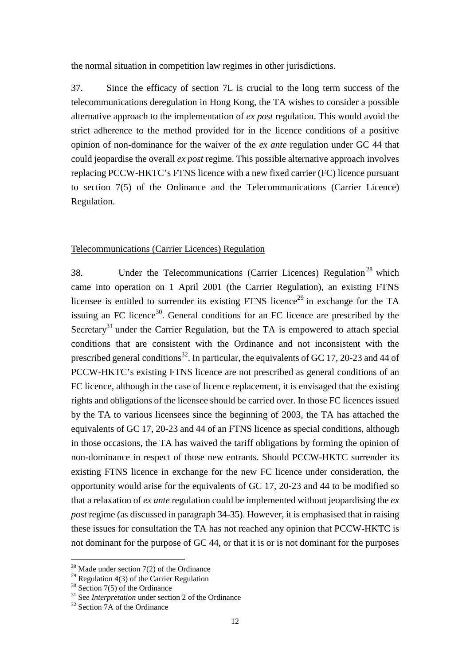the normal situation in competition law regimes in other jurisdictions.

37. Since the efficacy of section 7L is crucial to the long term success of the telecommunications deregulation in Hong Kong, the TA wishes to consider a possible alternative approach to the implementation of *ex post* regulation. This would avoid the strict adherence to the method provided for in the licence conditions of a positive opinion of non-dominance for the waiver of the *ex ante* regulation under GC 44 that could jeopardise the overall *ex post* regime. This possible alternative approach involves replacing PCCW-HKTC's FTNS licence with a new fixed carrier (FC) licence pursuant to section 7(5) of the Ordinance and the Telecommunications (Carrier Licence) Regulation.

#### Telecommunications (Carrier Licences) Regulation

38. Under the Telecommunications (Carrier Licences) Regulation<sup>28</sup> which came into operation on 1 April 2001 (the Carrier Regulation), an existing FTNS licensee is entitled to surrender its existing FTNS licence<sup>29</sup> in exchange for the TA issuing an FC licence<sup>30</sup>. General conditions for an FC licence are prescribed by the Secretary<sup>31</sup> under the Carrier Regulation, but the TA is empowered to attach special conditions that are consistent with the Ordinance and not inconsistent with the prescribed general conditions<sup>32</sup>. In particular, the equivalents of GC 17, 20-23 and 44 of PCCW-HKTC's existing FTNS licence are not prescribed as general conditions of an FC licence, although in the case of licence replacement, it is envisaged that the existing rights and obligations of the licensee should be carried over. In those FC licences issued by the TA to various licensees since the beginning of 2003, the TA has attached the equivalents of GC 17, 20-23 and 44 of an FTNS licence as special conditions, although in those occasions, the TA has waived the tariff obligations by forming the opinion of non-dominance in respect of those new entrants. Should PCCW-HKTC surrender its existing FTNS licence in exchange for the new FC licence under consideration, the opportunity would arise for the equivalents of GC 17, 20-23 and 44 to be modified so that a relaxation of *ex ante* regulation could be implemented without jeopardising the *ex post* regime (as discussed in paragraph 34-35). However, it is emphasised that in raising these issues for consultation the TA has not reached any opinion that PCCW-HKTC is not dominant for the purpose of GC 44, or that it is or is not dominant for the purposes

 $28$  Made under section 7(2) of the Ordinance

 $29$  Regulation 4(3) of the Carrier Regulation

 $30$  Section 7(5) of the Ordinance

<sup>&</sup>lt;sup>31</sup> See *Interpretation* under section 2 of the Ordinance<br><sup>32</sup> Section 7A of the Ordinance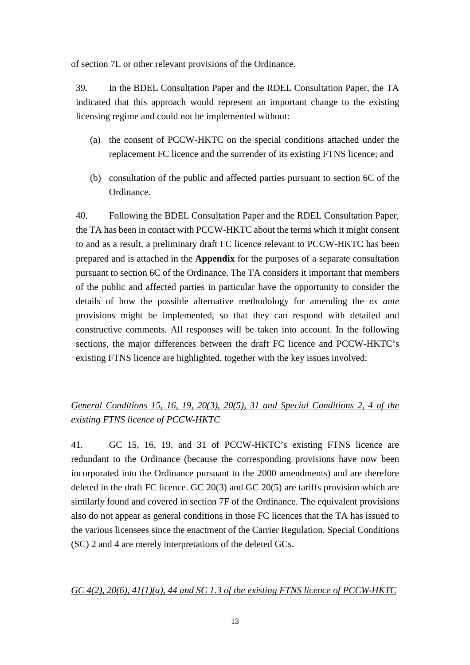of section 7L or other relevant provisions of the Ordinance.

39. In the BDEL Consultation Paper and the RDEL Consultation Paper, the TA indicated that this approach would represent an important change to the existing licensing regime and could not be implemented without:

- (a) the consent of PCCW-HKTC on the special conditions attached under the replacement FC licence and the surrender of its existing FTNS licence; and
- (b) consultation of the public and affected parties pursuant to section 6C of the Ordinance.

40. Following the BDEL Consultation Paper and the RDEL Consultation Paper, the TA has been in contact with PCCW-HKTC about the terms which it might consent to and as a result, a preliminary draft FC licence relevant to PCCW-HKTC has been prepared and is attached in the **Appendix** for the purposes of a separate consultation pursuant to section 6C of the Ordinance. The TA considers it important that members of the public and affected parties in particular have the opportunity to consider the details of how the possible alternative methodology for amending the *ex ante*  provisions might be implemented, so that they can respond with detailed and constructive comments. All responses will be taken into account. In the following sections, the major differences between the draft FC licence and PCCW-HKTC's existing FTNS licence are highlighted, together with the key issues involved:

# *General Conditions 15, 16, 19, 20(3), 20(5), 31 and Special Conditions 2, 4 of the existing FTNS licence of PCCW-HKTC*

41. GC 15, 16, 19, and 31 of PCCW-HKTC's existing FTNS licence are redundant to the Ordinance (because the corresponding provisions have now been incorporated into the Ordinance pursuant to the 2000 amendments) and are therefore deleted in the draft FC licence. GC 20(3) and GC 20(5) are tariffs provision which are similarly found and covered in section 7F of the Ordinance. The equivalent provisions also do not appear as general conditions in those FC licences that the TA has issued to the various licensees since the enactment of the Carrier Regulation. Special Conditions (SC) 2 and 4 are merely interpretations of the deleted GCs.

# *GC 4(2), 20(6), 41(1)(a), 44 and SC 1.3 of the existing FTNS licence of PCCW-HKTC*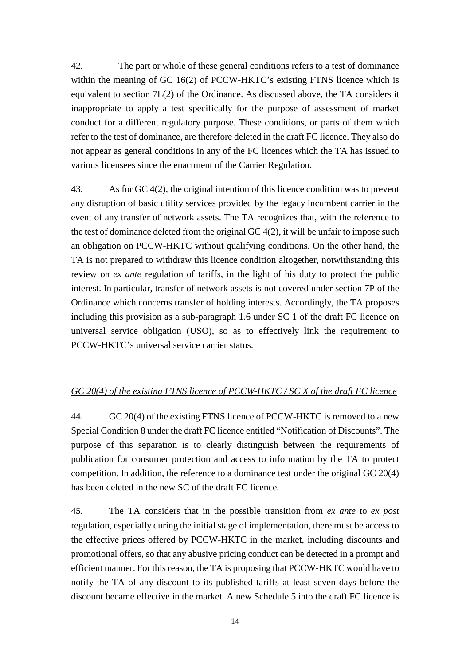42. The part or whole of these general conditions refers to a test of dominance within the meaning of GC 16(2) of PCCW-HKTC's existing FTNS licence which is equivalent to section 7L(2) of the Ordinance. As discussed above, the TA considers it inappropriate to apply a test specifically for the purpose of assessment of market conduct for a different regulatory purpose. These conditions, or parts of them which refer to the test of dominance, are therefore deleted in the draft FC licence. They also do not appear as general conditions in any of the FC licences which the TA has issued to various licensees since the enactment of the Carrier Regulation.

43. As for GC 4(2), the original intention of this licence condition was to prevent any disruption of basic utility services provided by the legacy incumbent carrier in the event of any transfer of network assets. The TA recognizes that, with the reference to the test of dominance deleted from the original GC 4(2), it will be unfair to impose such an obligation on PCCW-HKTC without qualifying conditions. On the other hand, the TA is not prepared to withdraw this licence condition altogether, notwithstanding this review on *ex ante* regulation of tariffs, in the light of his duty to protect the public interest. In particular, transfer of network assets is not covered under section 7P of the Ordinance which concerns transfer of holding interests. Accordingly, the TA proposes including this provision as a sub-paragraph 1.6 under SC 1 of the draft FC licence on universal service obligation (USO), so as to effectively link the requirement to PCCW-HKTC's universal service carrier status.

# *GC 20(4) of the existing FTNS licence of PCCW-HKTC / SC X of the draft FC licence*

44. GC 20(4) of the existing FTNS licence of PCCW-HKTC is removed to a new Special Condition 8 under the draft FC licence entitled "Notification of Discounts". The purpose of this separation is to clearly distinguish between the requirements of publication for consumer protection and access to information by the TA to protect competition. In addition, the reference to a dominance test under the original GC 20(4) has been deleted in the new SC of the draft FC licence.

45. The TA considers that in the possible transition from *ex ante* to *ex post* regulation, especially during the initial stage of implementation, there must be access to the effective prices offered by PCCW-HKTC in the market, including discounts and promotional offers, so that any abusive pricing conduct can be detected in a prompt and efficient manner. For this reason, the TA is proposing that PCCW-HKTC would have to notify the TA of any discount to its published tariffs at least seven days before the discount became effective in the market. A new Schedule 5 into the draft FC licence is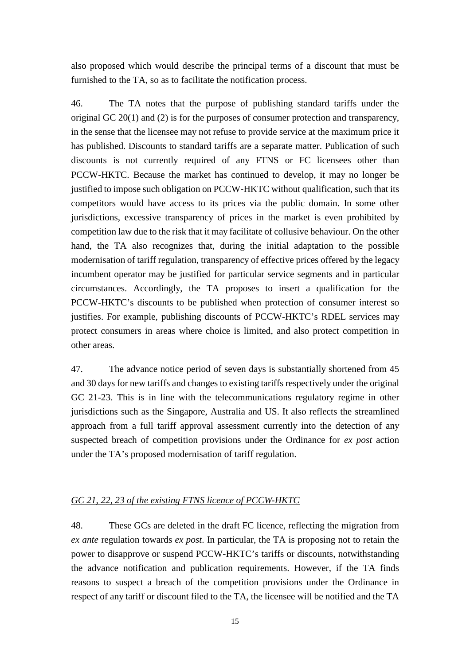also proposed which would describe the principal terms of a discount that must be furnished to the TA, so as to facilitate the notification process.

46. The TA notes that the purpose of publishing standard tariffs under the original GC 20(1) and (2) is for the purposes of consumer protection and transparency, in the sense that the licensee may not refuse to provide service at the maximum price it has published. Discounts to standard tariffs are a separate matter. Publication of such discounts is not currently required of any FTNS or FC licensees other than PCCW-HKTC. Because the market has continued to develop, it may no longer be justified to impose such obligation on PCCW-HKTC without qualification, such that its competitors would have access to its prices via the public domain. In some other jurisdictions, excessive transparency of prices in the market is even prohibited by competition law due to the risk that it may facilitate of collusive behaviour. On the other hand, the TA also recognizes that, during the initial adaptation to the possible modernisation of tariff regulation, transparency of effective prices offered by the legacy incumbent operator may be justified for particular service segments and in particular circumstances. Accordingly, the TA proposes to insert a qualification for the PCCW-HKTC's discounts to be published when protection of consumer interest so justifies. For example, publishing discounts of PCCW-HKTC's RDEL services may protect consumers in areas where choice is limited, and also protect competition in other areas.

47. The advance notice period of seven days is substantially shortened from 45 and 30 days for new tariffs and changes to existing tariffs respectively under the original GC 21-23. This is in line with the telecommunications regulatory regime in other jurisdictions such as the Singapore, Australia and US. It also reflects the streamlined approach from a full tariff approval assessment currently into the detection of any suspected breach of competition provisions under the Ordinance for *ex post* action under the TA's proposed modernisation of tariff regulation.

#### *GC 21, 22, 23 of the existing FTNS licence of PCCW-HKTC*

48. These GCs are deleted in the draft FC licence, reflecting the migration from *ex ante* regulation towards *ex post*. In particular, the TA is proposing not to retain the power to disapprove or suspend PCCW-HKTC's tariffs or discounts, notwithstanding the advance notification and publication requirements. However, if the TA finds reasons to suspect a breach of the competition provisions under the Ordinance in respect of any tariff or discount filed to the TA, the licensee will be notified and the TA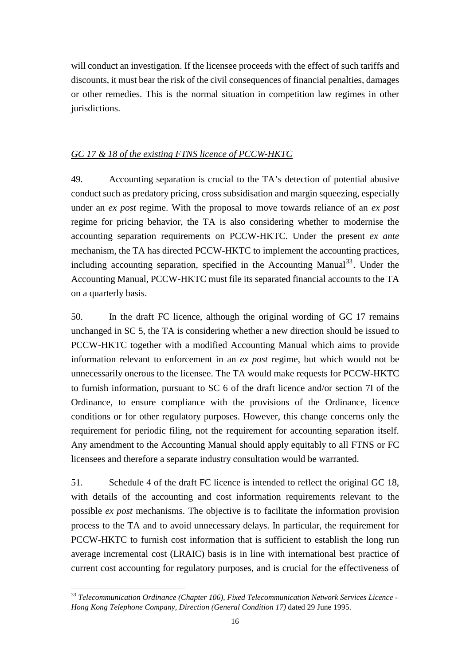will conduct an investigation. If the licensee proceeds with the effect of such tariffs and discounts, it must bear the risk of the civil consequences of financial penalties, damages or other remedies. This is the normal situation in competition law regimes in other jurisdictions.

# *GC 17 & 18 of the existing FTNS licence of PCCW-HKTC*

49. Accounting separation is crucial to the TA's detection of potential abusive conduct such as predatory pricing, cross subsidisation and margin squeezing, especially under an *ex post* regime. With the proposal to move towards reliance of an *ex post* regime for pricing behavior, the TA is also considering whether to modernise the accounting separation requirements on PCCW-HKTC. Under the present *ex ante* mechanism, the TA has directed PCCW-HKTC to implement the accounting practices, including accounting separation, specified in the Accounting Manual<sup>33</sup>. Under the Accounting Manual, PCCW-HKTC must file its separated financial accounts to the TA on a quarterly basis.

50. In the draft FC licence, although the original wording of GC 17 remains unchanged in SC 5, the TA is considering whether a new direction should be issued to PCCW-HKTC together with a modified Accounting Manual which aims to provide information relevant to enforcement in an *ex post* regime, but which would not be unnecessarily onerous to the licensee. The TA would make requests for PCCW-HKTC to furnish information, pursuant to SC 6 of the draft licence and/or section 7I of the Ordinance, to ensure compliance with the provisions of the Ordinance, licence conditions or for other regulatory purposes. However, this change concerns only the requirement for periodic filing, not the requirement for accounting separation itself. Any amendment to the Accounting Manual should apply equitably to all FTNS or FC licensees and therefore a separate industry consultation would be warranted.

51. Schedule 4 of the draft FC licence is intended to reflect the original GC 18, with details of the accounting and cost information requirements relevant to the possible *ex post* mechanisms. The objective is to facilitate the information provision process to the TA and to avoid unnecessary delays. In particular, the requirement for PCCW-HKTC to furnish cost information that is sufficient to establish the long run average incremental cost (LRAIC) basis is in line with international best practice of current cost accounting for regulatory purposes, and is crucial for the effectiveness of

<sup>33</sup> *Telecommunication Ordinance (Chapter 106), Fixed Telecommunication Network Services Licence - Hong Kong Telephone Company, Direction (General Condition 17)* dated 29 June 1995.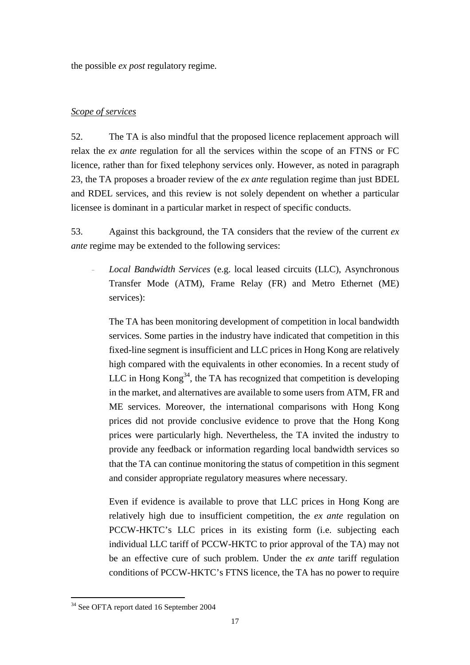the possible *ex post* regulatory regime.

# *Scope of services*

52. The TA is also mindful that the proposed licence replacement approach will relax the *ex ante* regulation for all the services within the scope of an FTNS or FC licence, rather than for fixed telephony services only. However, as noted in paragraph 23, the TA proposes a broader review of the *ex ante* regulation regime than just BDEL and RDEL services, and this review is not solely dependent on whether a particular licensee is dominant in a particular market in respect of specific conducts.

53. Against this background, the TA considers that the review of the current *ex ante* regime may be extended to the following services:

– *Local Bandwidth Services* (e.g. local leased circuits (LLC), Asynchronous Transfer Mode (ATM), Frame Relay (FR) and Metro Ethernet (ME) services):

The TA has been monitoring development of competition in local bandwidth services. Some parties in the industry have indicated that competition in this fixed-line segment is insufficient and LLC prices in Hong Kong are relatively high compared with the equivalents in other economies. In a recent study of LLC in Hong  $K\text{on}g^{34}$ , the TA has recognized that competition is developing in the market, and alternatives are available to some users from ATM, FR and ME services. Moreover, the international comparisons with Hong Kong prices did not provide conclusive evidence to prove that the Hong Kong prices were particularly high. Nevertheless, the TA invited the industry to provide any feedback or information regarding local bandwidth services so that the TA can continue monitoring the status of competition in this segment and consider appropriate regulatory measures where necessary.

Even if evidence is available to prove that LLC prices in Hong Kong are relatively high due to insufficient competition, the *ex ante* regulation on PCCW-HKTC's LLC prices in its existing form (i.e. subjecting each individual LLC tariff of PCCW-HKTC to prior approval of the TA) may not be an effective cure of such problem. Under the *ex ante* tariff regulation conditions of PCCW-HKTC's FTNS licence, the TA has no power to require

<sup>34</sup> See OFTA report dated 16 September 2004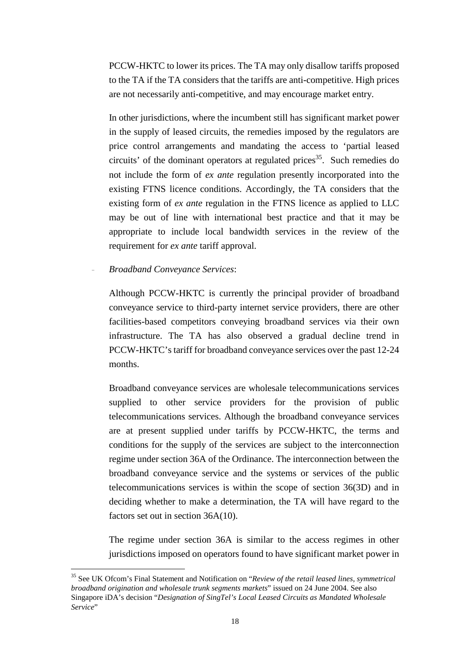PCCW-HKTC to lower its prices. The TA may only disallow tariffs proposed to the TA if the TA considers that the tariffs are anti-competitive. High prices are not necessarily anti-competitive, and may encourage market entry.

In other jurisdictions, where the incumbent still has significant market power in the supply of leased circuits, the remedies imposed by the regulators are price control arrangements and mandating the access to 'partial leased circuits' of the dominant operators at regulated prices<sup>35</sup>. Such remedies do not include the form of *ex ante* regulation presently incorporated into the existing FTNS licence conditions. Accordingly, the TA considers that the existing form of *ex ante* regulation in the FTNS licence as applied to LLC may be out of line with international best practice and that it may be appropriate to include local bandwidth services in the review of the requirement for *ex ante* tariff approval.

– *Broadband Conveyance Services*:

 $\overline{a}$ 

Although PCCW-HKTC is currently the principal provider of broadband conveyance service to third-party internet service providers, there are other facilities-based competitors conveying broadband services via their own infrastructure. The TA has also observed a gradual decline trend in PCCW-HKTC's tariff for broadband conveyance services over the past 12-24 months.

Broadband conveyance services are wholesale telecommunications services supplied to other service providers for the provision of public telecommunications services. Although the broadband conveyance services are at present supplied under tariffs by PCCW-HKTC, the terms and conditions for the supply of the services are subject to the interconnection regime under section 36A of the Ordinance. The interconnection between the broadband conveyance service and the systems or services of the public telecommunications services is within the scope of section 36(3D) and in deciding whether to make a determination, the TA will have regard to the factors set out in section 36A(10).

The regime under section 36A is similar to the access regimes in other jurisdictions imposed on operators found to have significant market power in

<sup>35</sup> See UK Ofcom's Final Statement and Notification on "*Review of the retail leased lines, symmetrical broadband origination and wholesale trunk segments markets*" issued on 24 June 2004. See also Singapore iDA's decision "*Designation of SingTel's Local Leased Circuits as Mandated Wholesale Service*"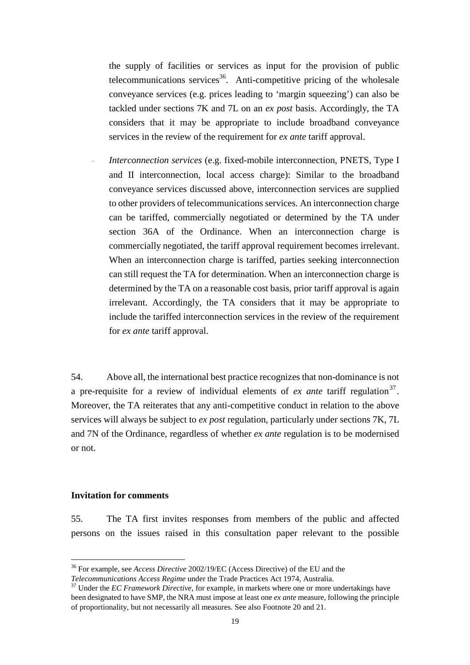the supply of facilities or services as input for the provision of public telecommunications services<sup>36</sup>. Anti-competitive pricing of the wholesale conveyance services (e.g. prices leading to 'margin squeezing') can also be tackled under sections 7K and 7L on an *ex post* basis. Accordingly, the TA considers that it may be appropriate to include broadband conveyance services in the review of the requirement for *ex ante* tariff approval.

– *Interconnection services* (e.g. fixed-mobile interconnection, PNETS, Type I and II interconnection, local access charge): Similar to the broadband conveyance services discussed above, interconnection services are supplied to other providers of telecommunications services. An interconnection charge can be tariffed, commercially negotiated or determined by the TA under section 36A of the Ordinance. When an interconnection charge is commercially negotiated, the tariff approval requirement becomes irrelevant. When an interconnection charge is tariffed, parties seeking interconnection can still request the TA for determination. When an interconnection charge is determined by the TA on a reasonable cost basis, prior tariff approval is again irrelevant. Accordingly, the TA considers that it may be appropriate to include the tariffed interconnection services in the review of the requirement for *ex ante* tariff approval.

54. Above all, the international best practice recognizes that non-dominance is not a pre-requisite for a review of individual elements of *ex ante* tariff regulation<sup>37</sup>. Moreover, the TA reiterates that any anti-competitive conduct in relation to the above services will always be subject to *ex post* regulation, particularly under sections 7K, 7L and 7N of the Ordinance, regardless of whether *ex ante* regulation is to be modernised or not.

#### **Invitation for comments**

 $\overline{a}$ 

55. The TA first invites responses from members of the public and affected persons on the issues raised in this consultation paper relevant to the possible

<sup>36</sup> For example, see *Access Directive* 2002/19/EC (Access Directive) of the EU and the

*Telecommunications Access Regime* under the Trade Practices Act 1974, Australia. 37 Under the *EC Framework Directive*, for example, in markets where one or more undertakings have been designated to have SMP, the NRA must impose at least one *ex ante* measure, following the principle of proportionality, but not necessarily all measures. See also Footnote 20 and 21.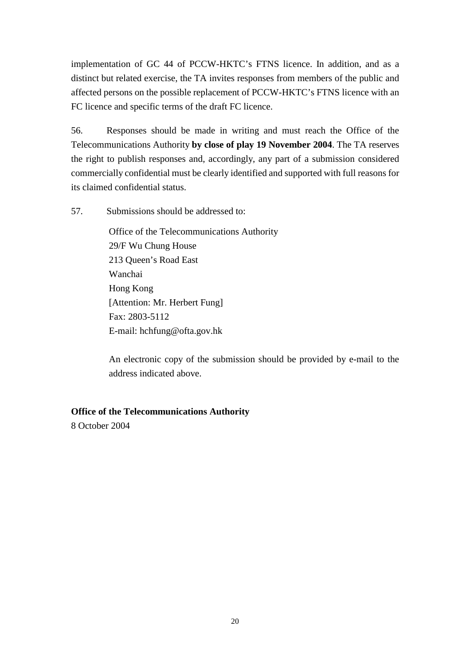implementation of GC 44 of PCCW-HKTC's FTNS licence. In addition, and as a distinct but related exercise, the TA invites responses from members of the public and affected persons on the possible replacement of PCCW-HKTC's FTNS licence with an FC licence and specific terms of the draft FC licence.

56. Responses should be made in writing and must reach the Office of the Telecommunications Authority **by close of play 19 November 2004**. The TA reserves the right to publish responses and, accordingly, any part of a submission considered commercially confidential must be clearly identified and supported with full reasons for its claimed confidential status.

57. Submissions should be addressed to:

Office of the Telecommunications Authority 29/F Wu Chung House 213 Queen's Road East Wanchai Hong Kong [Attention: Mr. Herbert Fung] Fax: 2803-5112 E-mail: hchfung@ofta.gov.hk

An electronic copy of the submission should be provided by e-mail to the address indicated above.

# **Office of the Telecommunications Authority**

8 October 2004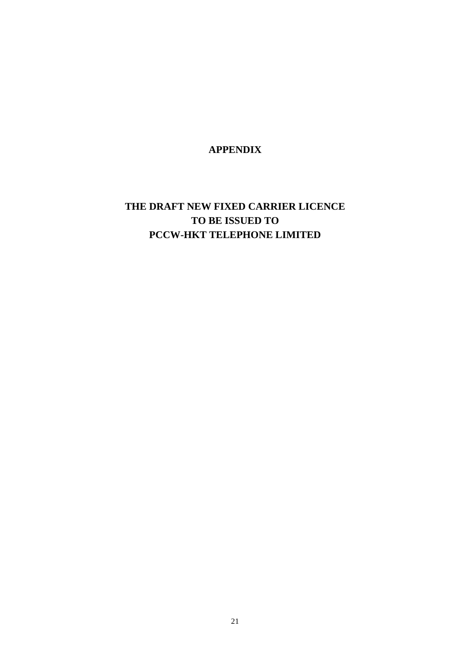**APPENDIX** 

# **THE DRAFT NEW FIXED CARRIER LICENCE TO BE ISSUED TO PCCW-HKT TELEPHONE LIMITED**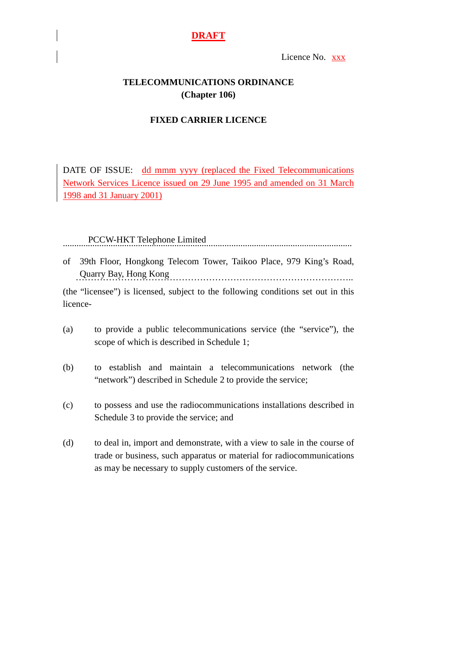Licence No. xxx

# **TELECOMMUNICATIONS ORDINANCE (Chapter 106)**

# **FIXED CARRIER LICENCE**

DATE OF ISSUE: dd mmm yyyy (replaced the Fixed Telecommunications Network Services Licence issued on 29 June 1995 and amended on 31 March 1998 and 31 January 2001)

PCCW-HKT Telephone Limited ...............................................................................................................................

of 39th Floor, Hongkong Telecom Tower, Taikoo Place, 979 King's Road, Quarry Bay, Hong Kong ………………………………………………………………………………..

(the "licensee") is licensed, subject to the following conditions set out in this licence-

- (a) to provide a public telecommunications service (the "service"), the scope of which is described in Schedule 1;
- (b) to establish and maintain a telecommunications network (the "network") described in Schedule 2 to provide the service;
- (c) to possess and use the radiocommunications installations described in Schedule 3 to provide the service; and
- (d) to deal in, import and demonstrate, with a view to sale in the course of trade or business, such apparatus or material for radiocommunications as may be necessary to supply customers of the service.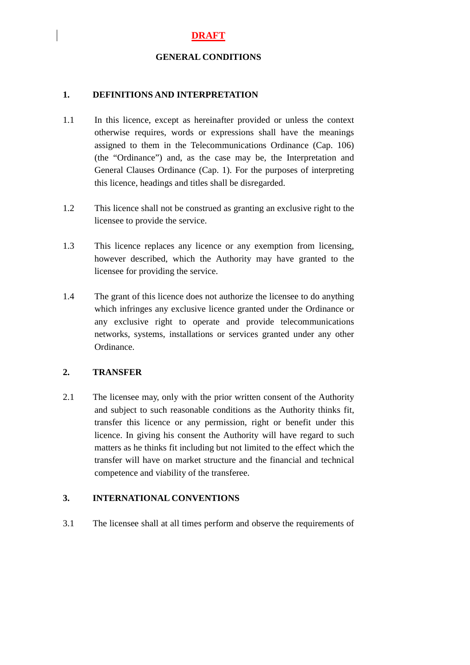#### **GENERAL CONDITIONS**

#### **1. DEFINITIONS AND INTERPRETATION**

- 1.1 In this licence, except as hereinafter provided or unless the context otherwise requires, words or expressions shall have the meanings assigned to them in the Telecommunications Ordinance (Cap. 106) (the "Ordinance") and, as the case may be, the Interpretation and General Clauses Ordinance (Cap. 1). For the purposes of interpreting this licence, headings and titles shall be disregarded.
- 1.2 This licence shall not be construed as granting an exclusive right to the licensee to provide the service.
- 1.3 This licence replaces any licence or any exemption from licensing, however described, which the Authority may have granted to the licensee for providing the service.
- 1.4 The grant of this licence does not authorize the licensee to do anything which infringes any exclusive licence granted under the Ordinance or any exclusive right to operate and provide telecommunications networks, systems, installations or services granted under any other Ordinance.

#### **2. TRANSFER**

2.1 The licensee may, only with the prior written consent of the Authority and subject to such reasonable conditions as the Authority thinks fit, transfer this licence or any permission, right or benefit under this licence. In giving his consent the Authority will have regard to such matters as he thinks fit including but not limited to the effect which the transfer will have on market structure and the financial and technical competence and viability of the transferee.

#### **3. INTERNATIONAL CONVENTIONS**

3.1 The licensee shall at all times perform and observe the requirements of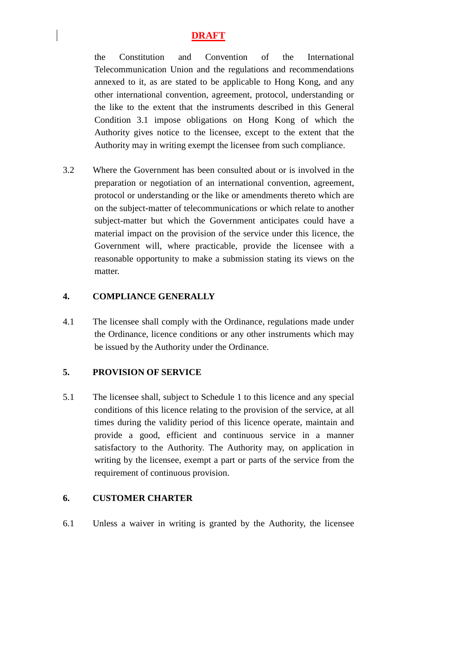the Constitution and Convention of the International Telecommunication Union and the regulations and recommendations annexed to it, as are stated to be applicable to Hong Kong, and any other international convention, agreement, protocol, understanding or the like to the extent that the instruments described in this General Condition 3.1 impose obligations on Hong Kong of which the Authority gives notice to the licensee, except to the extent that the Authority may in writing exempt the licensee from such compliance.

3.2 Where the Government has been consulted about or is involved in the preparation or negotiation of an international convention, agreement, protocol or understanding or the like or amendments thereto which are on the subject-matter of telecommunications or which relate to another subject-matter but which the Government anticipates could have a material impact on the provision of the service under this licence, the Government will, where practicable, provide the licensee with a reasonable opportunity to make a submission stating its views on the matter.

#### **4. COMPLIANCE GENERALLY**

4.1 The licensee shall comply with the Ordinance, regulations made under the Ordinance, licence conditions or any other instruments which may be issued by the Authority under the Ordinance.

#### **5. PROVISION OF SERVICE**

5.1 The licensee shall, subject to Schedule 1 to this licence and any special conditions of this licence relating to the provision of the service, at all times during the validity period of this licence operate, maintain and provide a good, efficient and continuous service in a manner satisfactory to the Authority. The Authority may, on application in writing by the licensee, exempt a part or parts of the service from the requirement of continuous provision.

## **6. CUSTOMER CHARTER**

6.1 Unless a waiver in writing is granted by the Authority, the licensee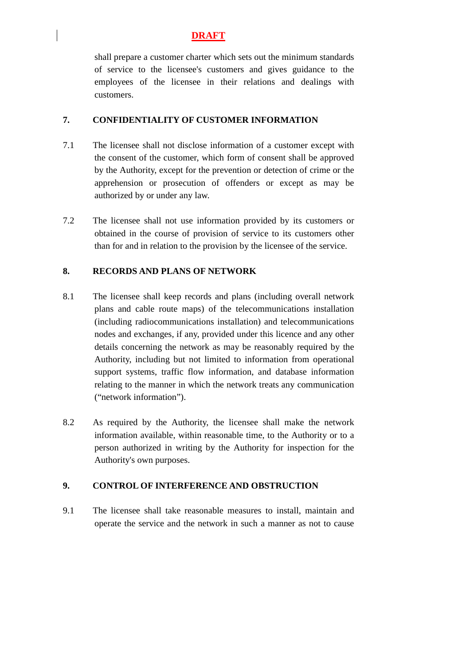shall prepare a customer charter which sets out the minimum standards of service to the licensee's customers and gives guidance to the employees of the licensee in their relations and dealings with customers.

#### **7. CONFIDENTIALITY OF CUSTOMER INFORMATION**

- 7.1 The licensee shall not disclose information of a customer except with the consent of the customer, which form of consent shall be approved by the Authority, except for the prevention or detection of crime or the apprehension or prosecution of offenders or except as may be authorized by or under any law.
- 7.2 The licensee shall not use information provided by its customers or obtained in the course of provision of service to its customers other than for and in relation to the provision by the licensee of the service.

#### **8. RECORDS AND PLANS OF NETWORK**

- 8.1 The licensee shall keep records and plans (including overall network plans and cable route maps) of the telecommunications installation (including radiocommunications installation) and telecommunications nodes and exchanges, if any, provided under this licence and any other details concerning the network as may be reasonably required by the Authority, including but not limited to information from operational support systems, traffic flow information, and database information relating to the manner in which the network treats any communication ("network information").
- 8.2 As required by the Authority, the licensee shall make the network information available, within reasonable time, to the Authority or to a person authorized in writing by the Authority for inspection for the Authority's own purposes.

#### **9. CONTROL OF INTERFERENCE AND OBSTRUCTION**

9.1 The licensee shall take reasonable measures to install, maintain and operate the service and the network in such a manner as not to cause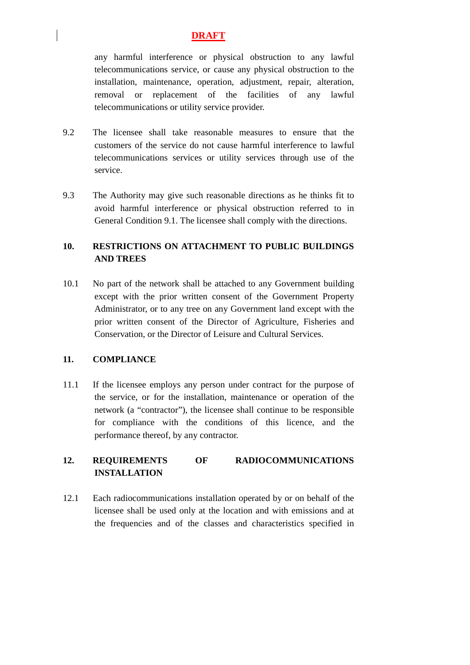any harmful interference or physical obstruction to any lawful telecommunications service, or cause any physical obstruction to the installation, maintenance, operation, adjustment, repair, alteration, removal or replacement of the facilities of any lawful telecommunications or utility service provider.

- 9.2 The licensee shall take reasonable measures to ensure that the customers of the service do not cause harmful interference to lawful telecommunications services or utility services through use of the service.
- 9.3 The Authority may give such reasonable directions as he thinks fit to avoid harmful interference or physical obstruction referred to in General Condition 9.1. The licensee shall comply with the directions.

# **10. RESTRICTIONS ON ATTACHMENT TO PUBLIC BUILDINGS AND TREES**

10.1 No part of the network shall be attached to any Government building except with the prior written consent of the Government Property Administrator, or to any tree on any Government land except with the prior written consent of the Director of Agriculture, Fisheries and Conservation, or the Director of Leisure and Cultural Services.

# **11. COMPLIANCE**

11.1 If the licensee employs any person under contract for the purpose of the service, or for the installation, maintenance or operation of the network (a "contractor"), the licensee shall continue to be responsible for compliance with the conditions of this licence, and the performance thereof, by any contractor.

# **12. REQUIREMENTS OF RADIOCOMMUNICATIONS INSTALLATION**

12.1 Each radiocommunications installation operated by or on behalf of the licensee shall be used only at the location and with emissions and at the frequencies and of the classes and characteristics specified in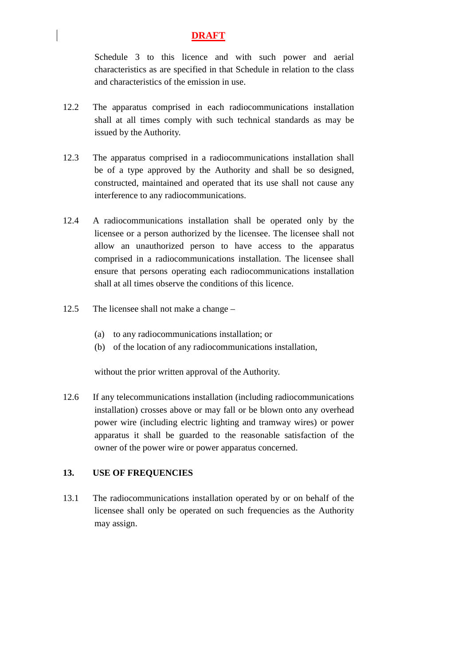Schedule 3 to this licence and with such power and aerial characteristics as are specified in that Schedule in relation to the class and characteristics of the emission in use.

- 12.2 The apparatus comprised in each radiocommunications installation shall at all times comply with such technical standards as may be issued by the Authority.
- 12.3 The apparatus comprised in a radiocommunications installation shall be of a type approved by the Authority and shall be so designed, constructed, maintained and operated that its use shall not cause any interference to any radiocommunications.
- 12.4 A radiocommunications installation shall be operated only by the licensee or a person authorized by the licensee. The licensee shall not allow an unauthorized person to have access to the apparatus comprised in a radiocommunications installation. The licensee shall ensure that persons operating each radiocommunications installation shall at all times observe the conditions of this licence.
- 12.5 The licensee shall not make a change
	- (a) to any radiocommunications installation; or
	- (b) of the location of any radiocommunications installation,

without the prior written approval of the Authority.

12.6 If any telecommunications installation (including radiocommunications installation) crosses above or may fall or be blown onto any overhead power wire (including electric lighting and tramway wires) or power apparatus it shall be guarded to the reasonable satisfaction of the owner of the power wire or power apparatus concerned.

# **13. USE OF FREQUENCIES**

13.1 The radiocommunications installation operated by or on behalf of the licensee shall only be operated on such frequencies as the Authority may assign.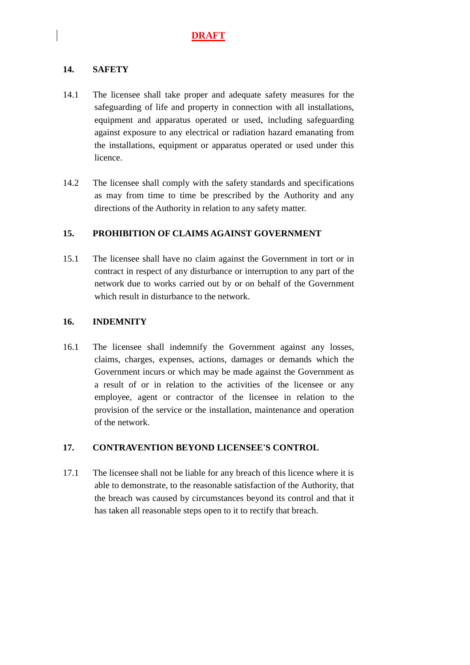# **14. SAFETY**

- 14.1 The licensee shall take proper and adequate safety measures for the safeguarding of life and property in connection with all installations, equipment and apparatus operated or used, including safeguarding against exposure to any electrical or radiation hazard emanating from the installations, equipment or apparatus operated or used under this licence.
- 14.2 The licensee shall comply with the safety standards and specifications as may from time to time be prescribed by the Authority and any directions of the Authority in relation to any safety matter.

# **15. PROHIBITION OF CLAIMS AGAINST GOVERNMENT**

15.1 The licensee shall have no claim against the Government in tort or in contract in respect of any disturbance or interruption to any part of the network due to works carried out by or on behalf of the Government which result in disturbance to the network.

#### **16. INDEMNITY**

16.1 The licensee shall indemnify the Government against any losses, claims, charges, expenses, actions, damages or demands which the Government incurs or which may be made against the Government as a result of or in relation to the activities of the licensee or any employee, agent or contractor of the licensee in relation to the provision of the service or the installation, maintenance and operation of the network.

#### **17. CONTRAVENTION BEYOND LICENSEE'S CONTROL**

17.1 The licensee shall not be liable for any breach of this licence where it is able to demonstrate, to the reasonable satisfaction of the Authority, that the breach was caused by circumstances beyond its control and that it has taken all reasonable steps open to it to rectify that breach.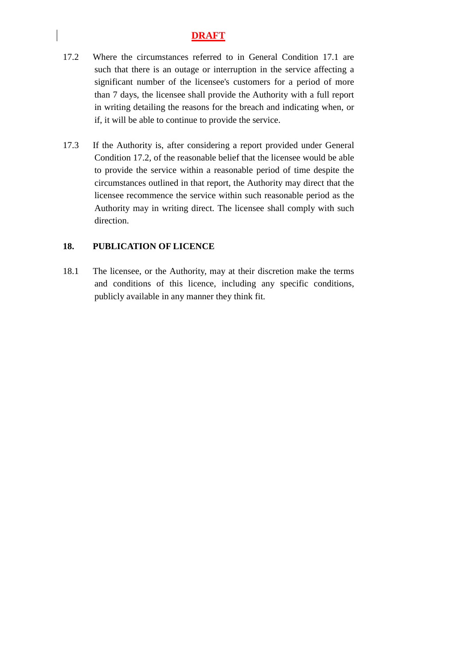- 17.2 Where the circumstances referred to in General Condition 17.1 are such that there is an outage or interruption in the service affecting a significant number of the licensee's customers for a period of more than 7 days, the licensee shall provide the Authority with a full report in writing detailing the reasons for the breach and indicating when, or if, it will be able to continue to provide the service.
- 17.3 If the Authority is, after considering a report provided under General Condition 17.2, of the reasonable belief that the licensee would be able to provide the service within a reasonable period of time despite the circumstances outlined in that report, the Authority may direct that the licensee recommence the service within such reasonable period as the Authority may in writing direct. The licensee shall comply with such direction.

#### **18. PUBLICATION OF LICENCE**

18.1 The licensee, or the Authority, may at their discretion make the terms and conditions of this licence, including any specific conditions, publicly available in any manner they think fit.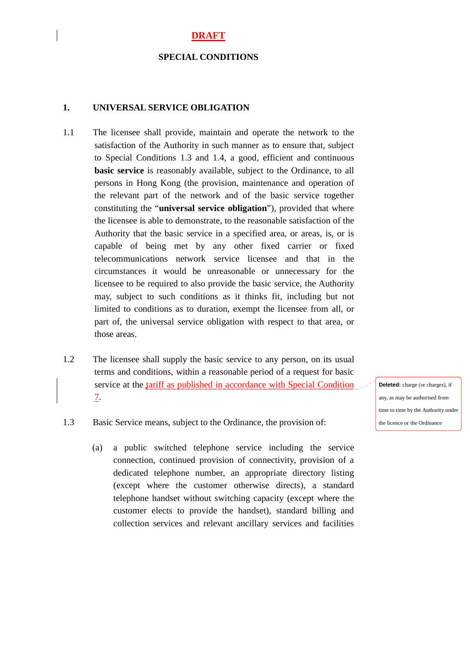#### **SPECIAL CONDITIONS**

#### **1. UNIVERSAL SERVICE OBLIGATION**

- 1.1 The licensee shall provide, maintain and operate the network to the satisfaction of the Authority in such manner as to ensure that, subject to Special Conditions 1.3 and 1.4, a good, efficient and continuous **basic service** is reasonably available, subject to the Ordinance, to all persons in Hong Kong (the provision, maintenance and operation of the relevant part of the network and of the basic service together constituting the "**universal service obligation**"), provided that where the licensee is able to demonstrate, to the reasonable satisfaction of the Authority that the basic service in a specified area, or areas, is, or is capable of being met by any other fixed carrier or fixed telecommunications network service licensee and that in the circumstances it would be unreasonable or unnecessary for the licensee to be required to also provide the basic service, the Authority may, subject to such conditions as it thinks fit, including but not limited to conditions as to duration, exempt the licensee from all, or part of, the universal service obligation with respect to that area, or those areas.
- 1.2 The licensee shall supply the basic service to any person, on its usual terms and conditions, within a reasonable period of a request for basic service at the tariff as published in accordance with Special Condition 7.

**Deleted:** charge (or charges), if any, as may be authorised from time to time by the Authority under the licence or the Ordinance

- 1.3 Basic Service means, subject to the Ordinance, the provision of:
	- (a) a public switched telephone service including the service connection, continued provision of connectivity, provision of a dedicated telephone number, an appropriate directory listing (except where the customer otherwise directs), a standard telephone handset without switching capacity (except where the customer elects to provide the handset), standard billing and collection services and relevant ancillary services and facilities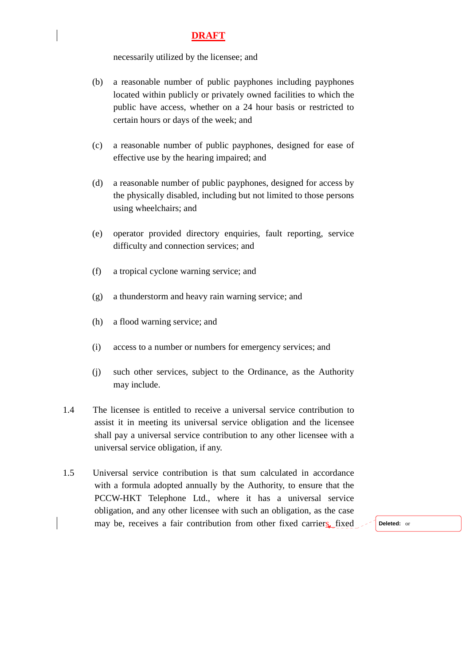necessarily utilized by the licensee; and

- (b) a reasonable number of public payphones including payphones located within publicly or privately owned facilities to which the public have access, whether on a 24 hour basis or restricted to certain hours or days of the week; and
- (c) a reasonable number of public payphones, designed for ease of effective use by the hearing impaired; and
- (d) a reasonable number of public payphones, designed for access by the physically disabled, including but not limited to those persons using wheelchairs; and
- (e) operator provided directory enquiries, fault reporting, service difficulty and connection services; and
- (f) a tropical cyclone warning service; and
- (g) a thunderstorm and heavy rain warning service; and
- (h) a flood warning service; and
- (i) access to a number or numbers for emergency services; and
- (j) such other services, subject to the Ordinance, as the Authority may include.
- 1.4 The licensee is entitled to receive a universal service contribution to assist it in meeting its universal service obligation and the licensee shall pay a universal service contribution to any other licensee with a universal service obligation, if any.
- 1.5 Universal service contribution is that sum calculated in accordance with a formula adopted annually by the Authority, to ensure that the PCCW-HKT Telephone Ltd., where it has a universal service obligation, and any other licensee with such an obligation, as the case may be, receives a fair contribution from other fixed carriers, fixed **Deleted:** or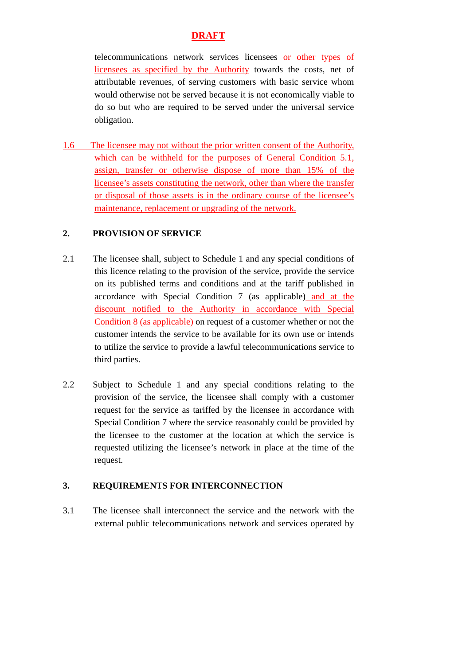telecommunications network services licensees or other types of licensees as specified by the Authority towards the costs, net of attributable revenues, of serving customers with basic service whom would otherwise not be served because it is not economically viable to do so but who are required to be served under the universal service obligation.

1.6 The licensee may not without the prior written consent of the Authority, which can be withheld for the purposes of General Condition 5.1, assign, transfer or otherwise dispose of more than 15% of the licensee's assets constituting the network, other than where the transfer or disposal of those assets is in the ordinary course of the licensee's maintenance, replacement or upgrading of the network.

# **2. PROVISION OF SERVICE**

- 2.1 The licensee shall, subject to Schedule 1 and any special conditions of this licence relating to the provision of the service, provide the service on its published terms and conditions and at the tariff published in accordance with Special Condition 7 (as applicable) and at the discount notified to the Authority in accordance with Special Condition 8 (as applicable) on request of a customer whether or not the customer intends the service to be available for its own use or intends to utilize the service to provide a lawful telecommunications service to third parties.
- 2.2 Subject to Schedule 1 and any special conditions relating to the provision of the service, the licensee shall comply with a customer request for the service as tariffed by the licensee in accordance with Special Condition 7 where the service reasonably could be provided by the licensee to the customer at the location at which the service is requested utilizing the licensee's network in place at the time of the request.

#### **3. REQUIREMENTS FOR INTERCONNECTION**

3.1 The licensee shall interconnect the service and the network with the external public telecommunications network and services operated by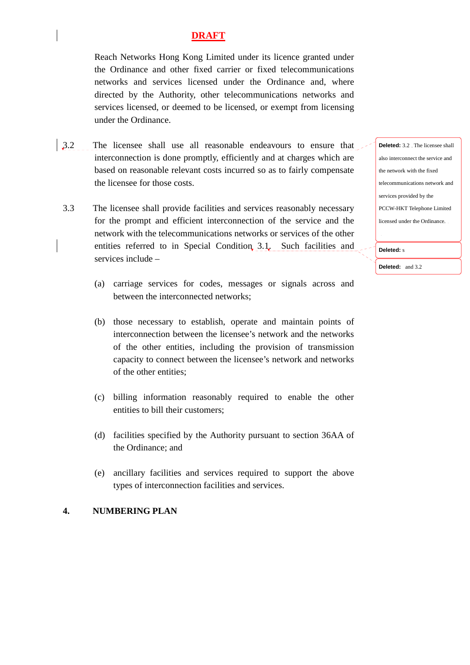Reach Networks Hong Kong Limited under its licence granted under the Ordinance and other fixed carrier or fixed telecommunications networks and services licensed under the Ordinance and, where directed by the Authority, other telecommunications networks and services licensed, or deemed to be licensed, or exempt from licensing under the Ordinance.

- 3.2 The licensee shall use all reasonable endeavours to ensure that interconnection is done promptly, efficiently and at charges which are based on reasonable relevant costs incurred so as to fairly compensate the licensee for those costs.
- 3.3 The licensee shall provide facilities and services reasonably necessary for the prompt and efficient interconnection of the service and the network with the telecommunications networks or services of the other entities referred to in Special Condition 3.1. Such facilities and services include –
	- (a) carriage services for codes, messages or signals across and between the interconnected networks;
	- (b) those necessary to establish, operate and maintain points of interconnection between the licensee's network and the networks of the other entities, including the provision of transmission capacity to connect between the licensee's network and networks of the other entities;
	- (c) billing information reasonably required to enable the other entities to bill their customers;
	- (d) facilities specified by the Authority pursuant to section 36AA of the Ordinance; and
	- (e) ancillary facilities and services required to support the above types of interconnection facilities and services.

#### **4. NUMBERING PLAN**

**Deleted:** 3.2 The licensee shall also interconnect the service and the network with the fixed telecommunications network and services provided by the PCCW-HKT Telephone Limited licensed under the Ordinance.

**Deleted:** s

**Deleted:** and 3.2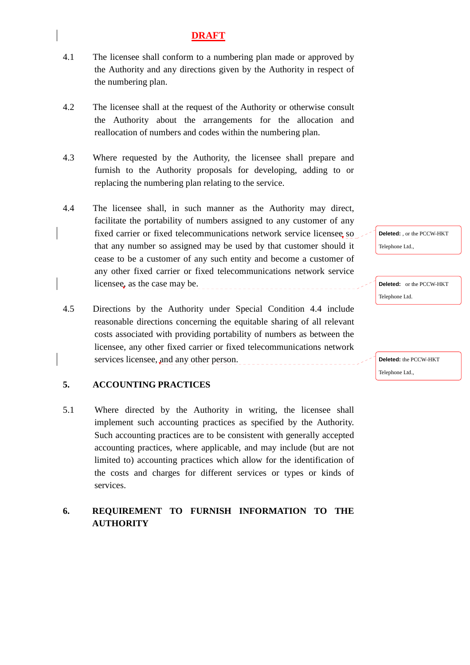- 4.1 The licensee shall conform to a numbering plan made or approved by the Authority and any directions given by the Authority in respect of the numbering plan.
- 4.2 The licensee shall at the request of the Authority or otherwise consult the Authority about the arrangements for the allocation and reallocation of numbers and codes within the numbering plan.
- 4.3 Where requested by the Authority, the licensee shall prepare and furnish to the Authority proposals for developing, adding to or replacing the numbering plan relating to the service.
- 4.4 The licensee shall, in such manner as the Authority may direct, facilitate the portability of numbers assigned to any customer of any fixed carrier or fixed telecommunications network service licensee so that any number so assigned may be used by that customer should it cease to be a customer of any such entity and become a customer of any other fixed carrier or fixed telecommunications network service licensee, as the case may be.
- 4.5 Directions by the Authority under Special Condition 4.4 include reasonable directions concerning the equitable sharing of all relevant costs associated with providing portability of numbers as between the licensee, any other fixed carrier or fixed telecommunications network services licensee, and any other person.

# **5. ACCOUNTING PRACTICES**

5.1 Where directed by the Authority in writing, the licensee shall implement such accounting practices as specified by the Authority. Such accounting practices are to be consistent with generally accepted accounting practices, where applicable, and may include (but are not limited to) accounting practices which allow for the identification of the costs and charges for different services or types or kinds of services.

# **6. REQUIREMENT TO FURNISH INFORMATION TO THE AUTHORITY**

**Deleted:** , or the PCCW-HKT Telephone Ltd.,

**Deleted:** or the PCCW-HKT Telephone Ltd.

**Deleted:** the PCCW-HKT Telephone Ltd.,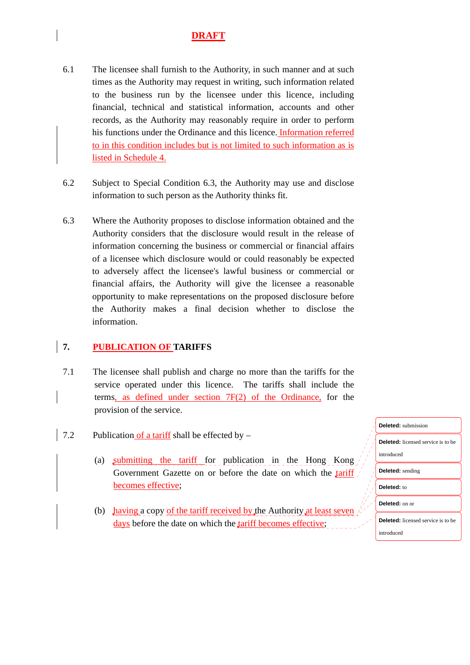- 6.1 The licensee shall furnish to the Authority, in such manner and at such times as the Authority may request in writing, such information related to the business run by the licensee under this licence, including financial, technical and statistical information, accounts and other records, as the Authority may reasonably require in order to perform his functions under the Ordinance and this licence. Information referred to in this condition includes but is not limited to such information as is listed in Schedule 4.
- 6.2 Subject to Special Condition 6.3, the Authority may use and disclose information to such person as the Authority thinks fit.
- 6.3 Where the Authority proposes to disclose information obtained and the Authority considers that the disclosure would result in the release of information concerning the business or commercial or financial affairs of a licensee which disclosure would or could reasonably be expected to adversely affect the licensee's lawful business or commercial or financial affairs, the Authority will give the licensee a reasonable opportunity to make representations on the proposed disclosure before the Authority makes a final decision whether to disclose the information.

# **7. PUBLICATION OF TARIFFS**

- 7.1 The licensee shall publish and charge no more than the tariffs for the service operated under this licence. The tariffs shall include the terms, as defined under section 7F(2) of the Ordinance, for the provision of the service.
- 7.2 Publication of a tariff shall be effected by  $-$ 
	- (a) submitting the tariff for publication in the Hong Kong Government Gazette on or before the date on which the tariff becomes effective;
	- (b) having a copy of the tariff received by the Authority at least seven days before the date on which the tariff becomes effective;

| <b>Deleted:</b> submission                |
|-------------------------------------------|
| <b>Deleted:</b> licensed service is to be |
| introduced                                |
| <b>Deleted:</b> sending                   |
| Deleted: to                               |
| Deleted: on or                            |
| <b>Deleted:</b> licensed service is to be |
| introduced                                |
|                                           |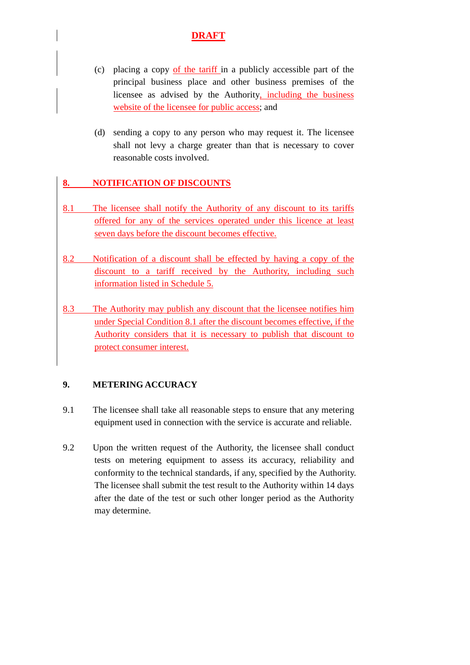- (c) placing a copy of the tariff in a publicly accessible part of the principal business place and other business premises of the licensee as advised by the Authority, including the business website of the licensee for public access; and
- (d) sending a copy to any person who may request it. The licensee shall not levy a charge greater than that is necessary to cover reasonable costs involved.

# **8. NOTIFICATION OF DISCOUNTS**

- 8.1 The licensee shall notify the Authority of any discount to its tariffs offered for any of the services operated under this licence at least seven days before the discount becomes effective.
- 8.2 Notification of a discount shall be effected by having a copy of the discount to a tariff received by the Authority, including such information listed in Schedule 5.
- 8.3 The Authority may publish any discount that the licensee notifies him under Special Condition 8.1 after the discount becomes effective, if the Authority considers that it is necessary to publish that discount to protect consumer interest.

# **9. METERING ACCURACY**

- 9.1 The licensee shall take all reasonable steps to ensure that any metering equipment used in connection with the service is accurate and reliable.
- 9.2 Upon the written request of the Authority, the licensee shall conduct tests on metering equipment to assess its accuracy, reliability and conformity to the technical standards, if any, specified by the Authority. The licensee shall submit the test result to the Authority within 14 days after the date of the test or such other longer period as the Authority may determine.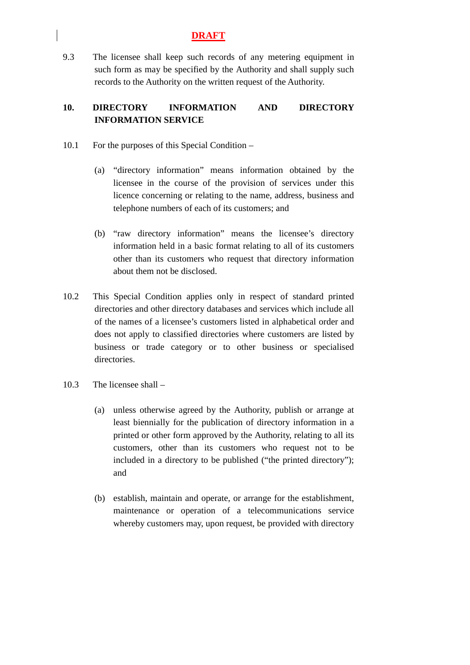9.3 The licensee shall keep such records of any metering equipment in such form as may be specified by the Authority and shall supply such records to the Authority on the written request of the Authority.

# **10. DIRECTORY INFORMATION AND DIRECTORY INFORMATION SERVICE**

- 10.1 For the purposes of this Special Condition
	- (a) "directory information" means information obtained by the licensee in the course of the provision of services under this licence concerning or relating to the name, address, business and telephone numbers of each of its customers; and
	- (b) "raw directory information" means the licensee's directory information held in a basic format relating to all of its customers other than its customers who request that directory information about them not be disclosed.
- 10.2 This Special Condition applies only in respect of standard printed directories and other directory databases and services which include all of the names of a licensee's customers listed in alphabetical order and does not apply to classified directories where customers are listed by business or trade category or to other business or specialised directories.
- 10.3 The licensee shall
	- (a) unless otherwise agreed by the Authority, publish or arrange at least biennially for the publication of directory information in a printed or other form approved by the Authority, relating to all its customers, other than its customers who request not to be included in a directory to be published ("the printed directory"); and
	- (b) establish, maintain and operate, or arrange for the establishment, maintenance or operation of a telecommunications service whereby customers may, upon request, be provided with directory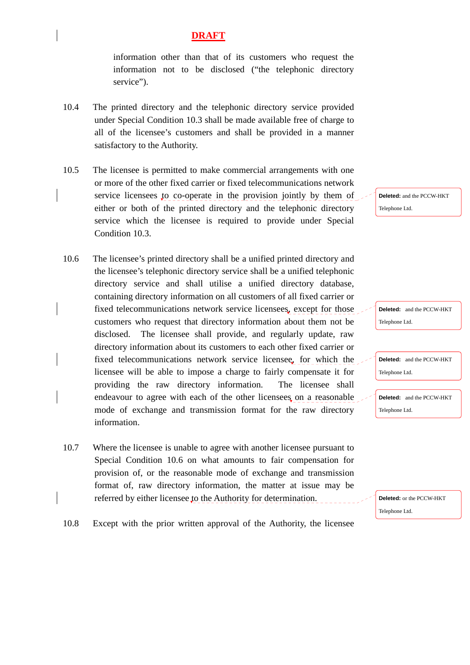information other than that of its customers who request the information not to be disclosed ("the telephonic directory service").

- 10.4 The printed directory and the telephonic directory service provided under Special Condition 10.3 shall be made available free of charge to all of the licensee's customers and shall be provided in a manner satisfactory to the Authority.
- 10.5 The licensee is permitted to make commercial arrangements with one or more of the other fixed carrier or fixed telecommunications network service licensees to co-operate in the provision jointly by them of either or both of the printed directory and the telephonic directory service which the licensee is required to provide under Special Condition 10.3.
- 10.6 The licensee's printed directory shall be a unified printed directory and the licensee's telephonic directory service shall be a unified telephonic directory service and shall utilise a unified directory database, containing directory information on all customers of all fixed carrier or fixed telecommunications network service licensees, except for those customers who request that directory information about them not be disclosed. The licensee shall provide, and regularly update, raw directory information about its customers to each other fixed carrier or fixed telecommunications network service licensee, for which the licensee will be able to impose a charge to fairly compensate it for providing the raw directory information. The licensee shall endeavour to agree with each of the other licensees on a reasonable mode of exchange and transmission format for the raw directory information.
- 10.7 Where the licensee is unable to agree with another licensee pursuant to Special Condition 10.6 on what amounts to fair compensation for provision of, or the reasonable mode of exchange and transmission format of, raw directory information, the matter at issue may be referred by either licensee to the Authority for determination.

**Deleted:** and the PCCW-HKT Telephone Ltd.

**Deleted:** and the PCCW-HKT Telephone Ltd.

**Deleted:** and the PCCW-HKT Telephone Ltd.

**Deleted:** and the PCCW-HKT Telephone Ltd.

**Deleted:** or the PCCW-HKT Telephone Ltd.

10.8 Except with the prior written approval of the Authority, the licensee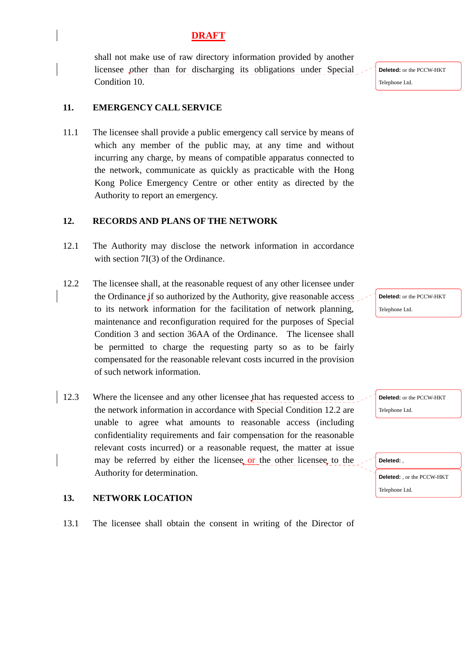shall not make use of raw directory information provided by another licensee other than for discharging its obligations under Special Condition 10.

## **11. EMERGENCY CALL SERVICE**

11.1 The licensee shall provide a public emergency call service by means of which any member of the public may, at any time and without incurring any charge, by means of compatible apparatus connected to the network, communicate as quickly as practicable with the Hong Kong Police Emergency Centre or other entity as directed by the Authority to report an emergency.

## **12. RECORDS AND PLANS OF THE NETWORK**

- 12.1 The Authority may disclose the network information in accordance with section 7I(3) of the Ordinance.
- 12.2 The licensee shall, at the reasonable request of any other licensee under the Ordinance if so authorized by the Authority, give reasonable access to its network information for the facilitation of network planning, maintenance and reconfiguration required for the purposes of Special Condition 3 and section 36AA of the Ordinance. The licensee shall be permitted to charge the requesting party so as to be fairly compensated for the reasonable relevant costs incurred in the provision of such network information.
- 12.3 Where the licensee and any other licensee that has requested access to the network information in accordance with Special Condition 12.2 are unable to agree what amounts to reasonable access (including confidentiality requirements and fair compensation for the reasonable relevant costs incurred) or a reasonable request, the matter at issue may be referred by either the licensee or the other licensee, to the Authority for determination.

## **13. NETWORK LOCATION**

13.1 The licensee shall obtain the consent in writing of the Director of

**Deleted:** or the PCCW-HKT Telephone Ltd.

**Deleted:** or the PCCW-HKT

Telephone Ltd.

| Deleted:                          |  |
|-----------------------------------|--|
| <b>Deleted:</b> , or the PCCW-HKT |  |
| Telephone Ltd.                    |  |

**Deleted:** or the PCCW-HKT Telephone Ltd.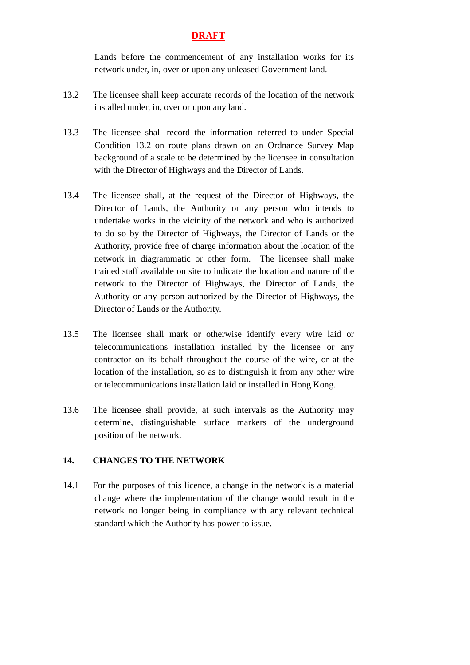Lands before the commencement of any installation works for its network under, in, over or upon any unleased Government land.

- 13.2 The licensee shall keep accurate records of the location of the network installed under, in, over or upon any land.
- 13.3 The licensee shall record the information referred to under Special Condition 13.2 on route plans drawn on an Ordnance Survey Map background of a scale to be determined by the licensee in consultation with the Director of Highways and the Director of Lands.
- 13.4 The licensee shall, at the request of the Director of Highways, the Director of Lands, the Authority or any person who intends to undertake works in the vicinity of the network and who is authorized to do so by the Director of Highways, the Director of Lands or the Authority, provide free of charge information about the location of the network in diagrammatic or other form. The licensee shall make trained staff available on site to indicate the location and nature of the network to the Director of Highways, the Director of Lands, the Authority or any person authorized by the Director of Highways, the Director of Lands or the Authority.
- 13.5 The licensee shall mark or otherwise identify every wire laid or telecommunications installation installed by the licensee or any contractor on its behalf throughout the course of the wire, or at the location of the installation, so as to distinguish it from any other wire or telecommunications installation laid or installed in Hong Kong.
- 13.6 The licensee shall provide, at such intervals as the Authority may determine, distinguishable surface markers of the underground position of the network.

#### **14. CHANGES TO THE NETWORK**

14.1 For the purposes of this licence, a change in the network is a material change where the implementation of the change would result in the network no longer being in compliance with any relevant technical standard which the Authority has power to issue.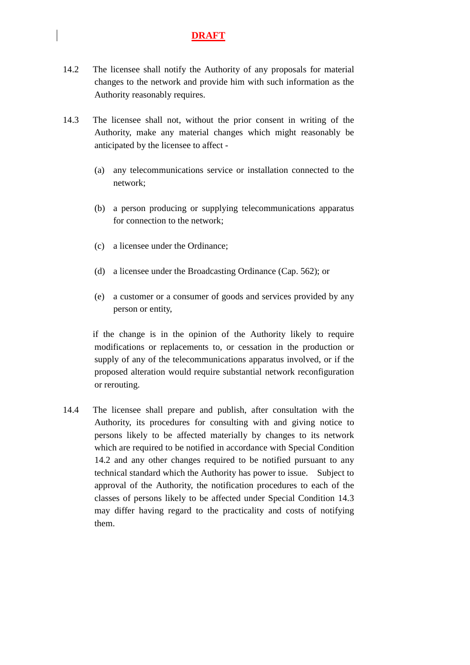- 14.2 The licensee shall notify the Authority of any proposals for material changes to the network and provide him with such information as the Authority reasonably requires.
- 14.3 The licensee shall not, without the prior consent in writing of the Authority, make any material changes which might reasonably be anticipated by the licensee to affect -
	- (a) any telecommunications service or installation connected to the network;
	- (b) a person producing or supplying telecommunications apparatus for connection to the network;
	- (c) a licensee under the Ordinance;
	- (d) a licensee under the Broadcasting Ordinance (Cap. 562); or
	- (e) a customer or a consumer of goods and services provided by any person or entity,

 if the change is in the opinion of the Authority likely to require modifications or replacements to, or cessation in the production or supply of any of the telecommunications apparatus involved, or if the proposed alteration would require substantial network reconfiguration or rerouting.

14.4 The licensee shall prepare and publish, after consultation with the Authority, its procedures for consulting with and giving notice to persons likely to be affected materially by changes to its network which are required to be notified in accordance with Special Condition 14.2 and any other changes required to be notified pursuant to any technical standard which the Authority has power to issue. Subject to approval of the Authority, the notification procedures to each of the classes of persons likely to be affected under Special Condition 14.3 may differ having regard to the practicality and costs of notifying them.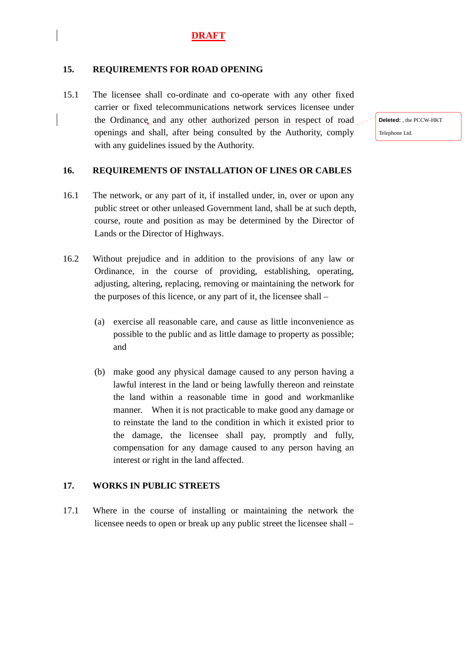#### **15. REQUIREMENTS FOR ROAD OPENING**

15.1 The licensee shall co-ordinate and co-operate with any other fixed carrier or fixed telecommunications network services licensee under the Ordinance and any other authorized person in respect of road openings and shall, after being consulted by the Authority, comply with any guidelines issued by the Authority.

#### **16. REQUIREMENTS OF INSTALLATION OF LINES OR CABLES**

- 16.1 The network, or any part of it, if installed under, in, over or upon any public street or other unleased Government land, shall be at such depth, course, route and position as may be determined by the Director of Lands or the Director of Highways.
- 16.2 Without prejudice and in addition to the provisions of any law or Ordinance, in the course of providing, establishing, operating, adjusting, altering, replacing, removing or maintaining the network for the purposes of this licence, or any part of it, the licensee shall –
	- (a) exercise all reasonable care, and cause as little inconvenience as possible to the public and as little damage to property as possible; and
	- (b) make good any physical damage caused to any person having a lawful interest in the land or being lawfully thereon and reinstate the land within a reasonable time in good and workmanlike manner. When it is not practicable to make good any damage or to reinstate the land to the condition in which it existed prior to the damage, the licensee shall pay, promptly and fully, compensation for any damage caused to any person having an interest or right in the land affected.

#### **17. WORKS IN PUBLIC STREETS**

17.1 Where in the course of installing or maintaining the network the licensee needs to open or break up any public street the licensee shall –

**Deleted:** the PCCW-HKT Telephone Ltd.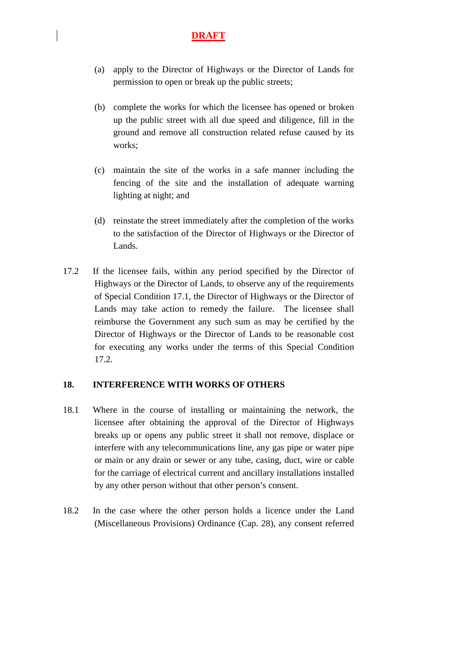- (a) apply to the Director of Highways or the Director of Lands for permission to open or break up the public streets;
- (b) complete the works for which the licensee has opened or broken up the public street with all due speed and diligence, fill in the ground and remove all construction related refuse caused by its works;
- (c) maintain the site of the works in a safe manner including the fencing of the site and the installation of adequate warning lighting at night; and
- (d) reinstate the street immediately after the completion of the works to the satisfaction of the Director of Highways or the Director of Lands.
- 17.2 If the licensee fails, within any period specified by the Director of Highways or the Director of Lands, to observe any of the requirements of Special Condition 17.1, the Director of Highways or the Director of Lands may take action to remedy the failure. The licensee shall reimburse the Government any such sum as may be certified by the Director of Highways or the Director of Lands to be reasonable cost for executing any works under the terms of this Special Condition 17.2.

#### **18. INTERFERENCE WITH WORKS OF OTHERS**

- 18.1 Where in the course of installing or maintaining the network, the licensee after obtaining the approval of the Director of Highways breaks up or opens any public street it shall not remove, displace or interfere with any telecommunications line, any gas pipe or water pipe or main or any drain or sewer or any tube, casing, duct, wire or cable for the carriage of electrical current and ancillary installations installed by any other person without that other person's consent.
- 18.2 In the case where the other person holds a licence under the Land (Miscellaneous Provisions) Ordinance (Cap. 28), any consent referred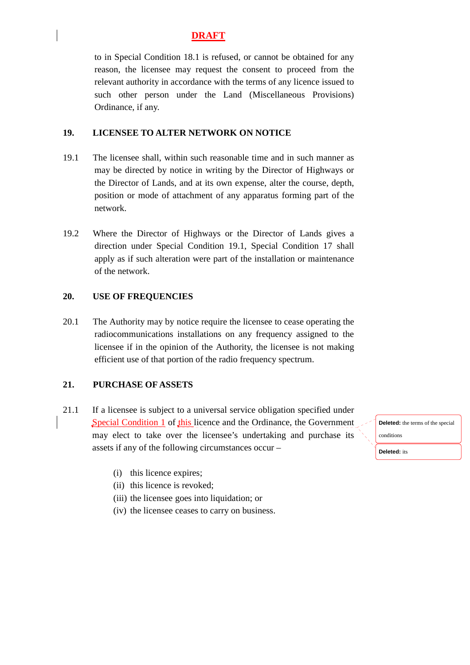to in Special Condition 18.1 is refused, or cannot be obtained for any reason, the licensee may request the consent to proceed from the relevant authority in accordance with the terms of any licence issued to such other person under the Land (Miscellaneous Provisions) Ordinance, if any.

#### **19. LICENSEE TO ALTER NETWORK ON NOTICE**

- 19.1 The licensee shall, within such reasonable time and in such manner as may be directed by notice in writing by the Director of Highways or the Director of Lands, and at its own expense, alter the course, depth, position or mode of attachment of any apparatus forming part of the network.
- 19.2 Where the Director of Highways or the Director of Lands gives a direction under Special Condition 19.1, Special Condition 17 shall apply as if such alteration were part of the installation or maintenance of the network.

#### **20. USE OF FREQUENCIES**

20.1 The Authority may by notice require the licensee to cease operating the radiocommunications installations on any frequency assigned to the licensee if in the opinion of the Authority, the licensee is not making efficient use of that portion of the radio frequency spectrum.

#### **21. PURCHASE OF ASSETS**

- 21.1 If a licensee is subject to a universal service obligation specified under Special Condition 1 of this licence and the Ordinance, the Government may elect to take over the licensee's undertaking and purchase its assets if any of the following circumstances occur –
	- (i) this licence expires;
	- (ii) this licence is revoked;
	- (iii) the licensee goes into liquidation; or
	- (iv) the licensee ceases to carry on business.

**Deleted:** the terms of the special conditions

**Deleted:** its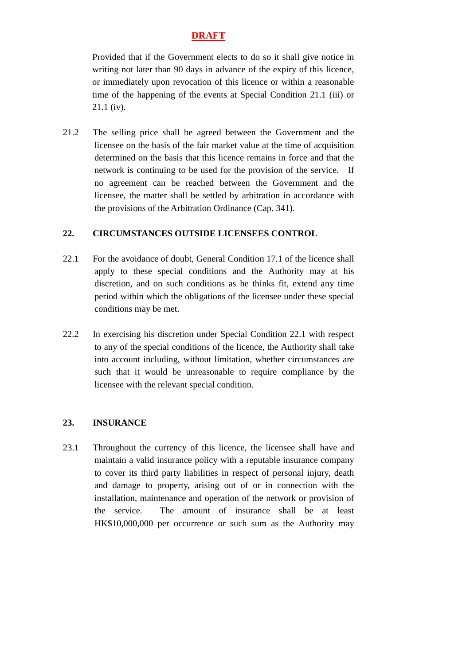Provided that if the Government elects to do so it shall give notice in writing not later than 90 days in advance of the expiry of this licence, or immediately upon revocation of this licence or within a reasonable time of the happening of the events at Special Condition 21.1 (iii) or 21.1 (iv).

21.2 The selling price shall be agreed between the Government and the licensee on the basis of the fair market value at the time of acquisition determined on the basis that this licence remains in force and that the network is continuing to be used for the provision of the service. If no agreement can be reached between the Government and the licensee, the matter shall be settled by arbitration in accordance with the provisions of the Arbitration Ordinance (Cap. 341).

#### **22. CIRCUMSTANCES OUTSIDE LICENSEES CONTROL**

- 22.1 For the avoidance of doubt, General Condition 17.1 of the licence shall apply to these special conditions and the Authority may at his discretion, and on such conditions as he thinks fit, extend any time period within which the obligations of the licensee under these special conditions may be met.
- 22.2 In exercising his discretion under Special Condition 22.1 with respect to any of the special conditions of the licence, the Authority shall take into account including, without limitation, whether circumstances are such that it would be unreasonable to require compliance by the licensee with the relevant special condition.

# **23. INSURANCE**

23.1 Throughout the currency of this licence, the licensee shall have and maintain a valid insurance policy with a reputable insurance company to cover its third party liabilities in respect of personal injury, death and damage to property, arising out of or in connection with the installation, maintenance and operation of the network or provision of the service. The amount of insurance shall be at least HK\$10,000,000 per occurrence or such sum as the Authority may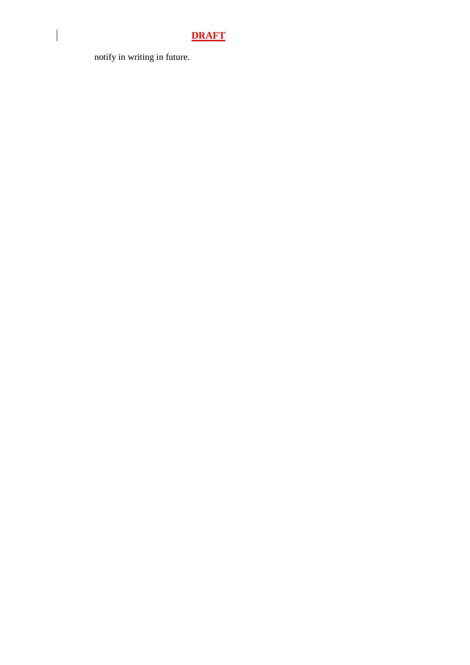notify in writing in future.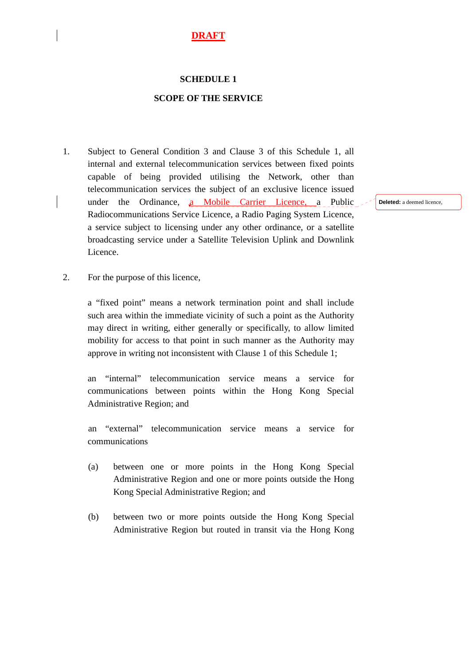#### **SCHEDULE 1**

#### **SCOPE OF THE SERVICE**

1. Subject to General Condition 3 and Clause 3 of this Schedule 1, all internal and external telecommunication services between fixed points capable of being provided utilising the Network, other than telecommunication services the subject of an exclusive licence issued under the Ordinance, a Mobile Carrier Licence, a Public Radiocommunications Service Licence, a Radio Paging System Licence, a service subject to licensing under any other ordinance, or a satellite broadcasting service under a Satellite Television Uplink and Downlink Licence.

**Deleted:** a deemed licence,

2. For the purpose of this licence,

 a "fixed point" means a network termination point and shall include such area within the immediate vicinity of such a point as the Authority may direct in writing, either generally or specifically, to allow limited mobility for access to that point in such manner as the Authority may approve in writing not inconsistent with Clause 1 of this Schedule 1;

an "internal" telecommunication service means a service for communications between points within the Hong Kong Special Administrative Region; and

an "external" telecommunication service means a service for communications

- (a) between one or more points in the Hong Kong Special Administrative Region and one or more points outside the Hong Kong Special Administrative Region; and
- (b) between two or more points outside the Hong Kong Special Administrative Region but routed in transit via the Hong Kong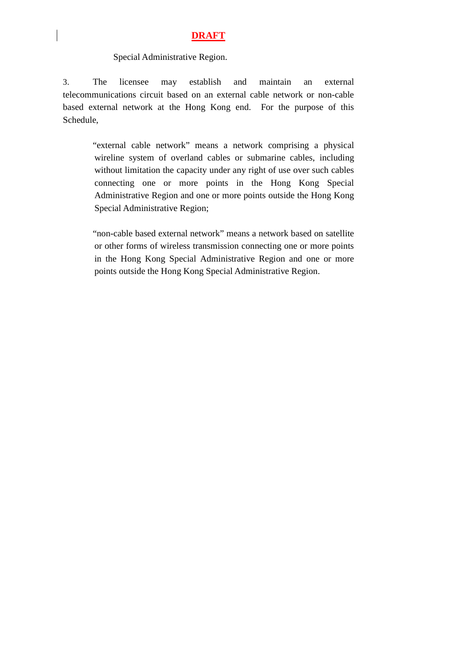#### Special Administrative Region.

3. The licensee may establish and maintain an external telecommunications circuit based on an external cable network or non-cable based external network at the Hong Kong end. For the purpose of this Schedule,

> "external cable network" means a network comprising a physical wireline system of overland cables or submarine cables, including without limitation the capacity under any right of use over such cables connecting one or more points in the Hong Kong Special Administrative Region and one or more points outside the Hong Kong Special Administrative Region;

> "non-cable based external network" means a network based on satellite or other forms of wireless transmission connecting one or more points in the Hong Kong Special Administrative Region and one or more points outside the Hong Kong Special Administrative Region.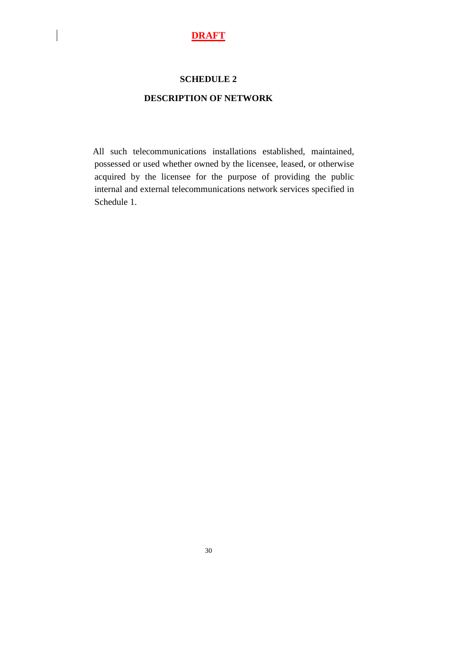#### **SCHEDULE 2**

### **DESCRIPTION OF NETWORK**

 All such telecommunications installations established, maintained, possessed or used whether owned by the licensee, leased, or otherwise acquired by the licensee for the purpose of providing the public internal and external telecommunications network services specified in Schedule 1.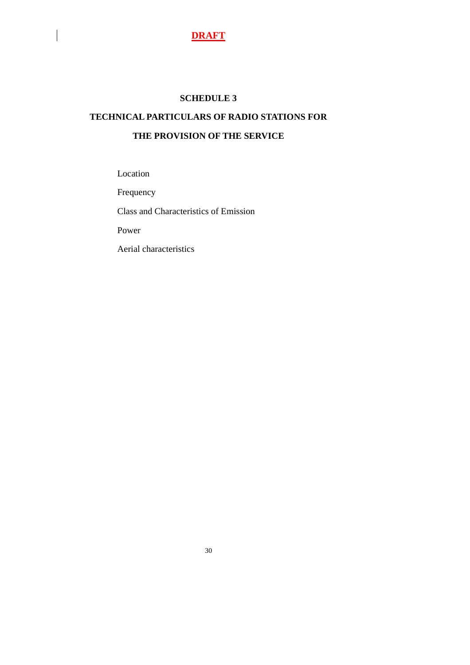#### **SCHEDULE 3**

# **TECHNICAL PARTICULARS OF RADIO STATIONS FOR THE PROVISION OF THE SERVICE**

Location

Frequency

Class and Characteristics of Emission

Power

Aerial characteristics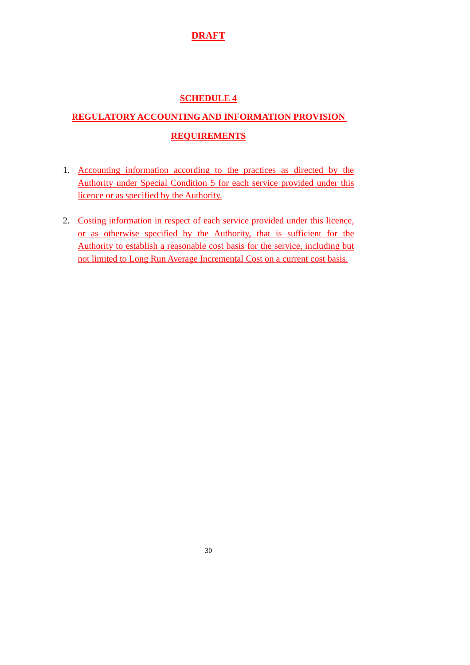# **SCHEDULE 4**

# **REGULATORY ACCOUNTING AND INFORMATION PROVISION REQUIREMENTS**

- 1. Accounting information according to the practices as directed by the Authority under Special Condition 5 for each service provided under this licence or as specified by the Authority.
- 2. Costing information in respect of each service provided under this licence, or as otherwise specified by the Authority, that is sufficient for the Authority to establish a reasonable cost basis for the service, including but not limited to Long Run Average Incremental Cost on a current cost basis.